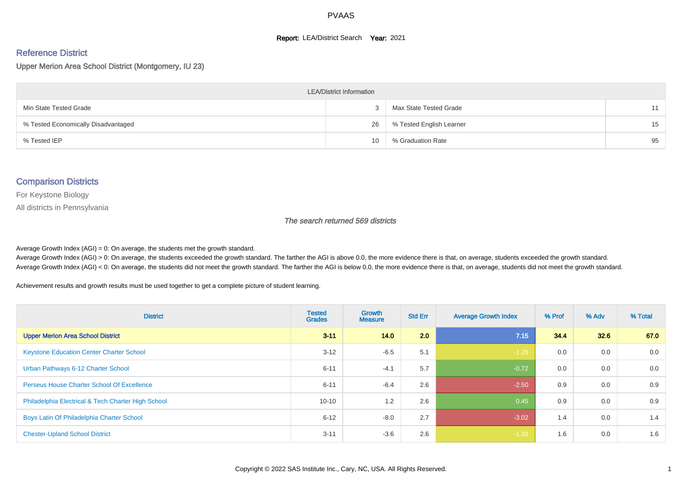#### **Report: LEA/District Search Year: 2021**

#### Reference District

Upper Merion Area School District (Montgomery, IU 23)

| <b>LEA/District Information</b>     |    |                          |    |  |  |  |  |  |  |  |
|-------------------------------------|----|--------------------------|----|--|--|--|--|--|--|--|
| Min State Tested Grade              |    | Max State Tested Grade   | 11 |  |  |  |  |  |  |  |
| % Tested Economically Disadvantaged | 26 | % Tested English Learner | 15 |  |  |  |  |  |  |  |
| % Tested IEP                        | 10 | % Graduation Rate        | 95 |  |  |  |  |  |  |  |

#### Comparison Districts

For Keystone Biology

All districts in Pennsylvania

The search returned 569 districts

Average Growth Index  $(AGI) = 0$ : On average, the students met the growth standard.

Average Growth Index (AGI) > 0: On average, the students exceeded the growth standard. The farther the AGI is above 0.0, the more evidence there is that, on average, students exceeded the growth standard. Average Growth Index (AGI) < 0: On average, the students did not meet the growth standard. The farther the AGI is below 0.0, the more evidence there is that, on average, students did not meet the growth standard.

Achievement results and growth results must be used together to get a complete picture of student learning.

| <b>District</b>                                    | <b>Tested</b><br><b>Grades</b> | <b>Growth</b><br><b>Measure</b> | <b>Std Err</b> | <b>Average Growth Index</b> | % Prof | % Adv | % Total |
|----------------------------------------------------|--------------------------------|---------------------------------|----------------|-----------------------------|--------|-------|---------|
| <b>Upper Merion Area School District</b>           | $3 - 11$                       | 14.0                            | 2.0            | 7.15                        | 34.4   | 32.6  | 67.0    |
| <b>Keystone Education Center Charter School</b>    | $3 - 12$                       | $-6.5$                          | 5.1            | $-1.28$                     | 0.0    | 0.0   | 0.0     |
| Urban Pathways 6-12 Charter School                 | $6 - 11$                       | $-4.1$                          | 5.7            | $-0.72$                     | 0.0    | 0.0   | 0.0     |
| <b>Perseus House Charter School Of Excellence</b>  | $6 - 11$                       | $-6.4$                          | 2.6            | $-2.50$                     | 0.9    | 0.0   | 0.9     |
| Philadelphia Electrical & Tech Charter High School | $10 - 10$                      | 1.2                             | 2.6            | 0.45                        | 0.9    | 0.0   | 0.9     |
| Boys Latin Of Philadelphia Charter School          | $6 - 12$                       | $-8.0$                          | 2.7            | $-3.02$                     | 1.4    | 0.0   | 1.4     |
| <b>Chester-Upland School District</b>              | $3 - 11$                       | $-3.6$                          | 2.6            | $-1.38$                     | 1.6    | 0.0   | 1.6     |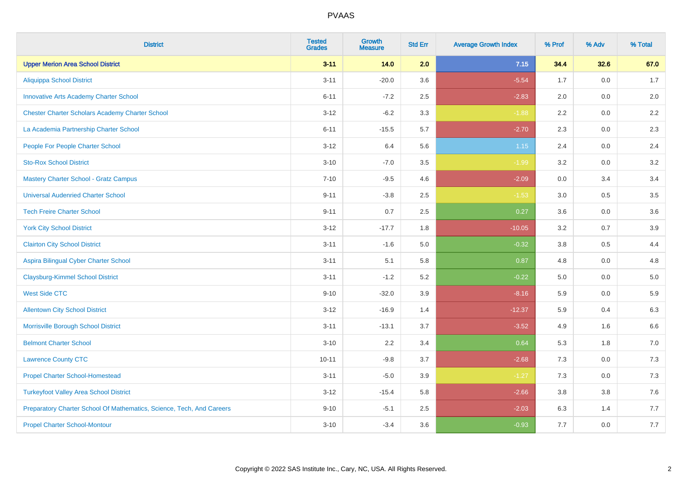| <b>District</b>                                                       | <b>Tested</b><br><b>Grades</b> | <b>Growth</b><br><b>Measure</b> | <b>Std Err</b> | <b>Average Growth Index</b> | % Prof | % Adv   | % Total |
|-----------------------------------------------------------------------|--------------------------------|---------------------------------|----------------|-----------------------------|--------|---------|---------|
| <b>Upper Merion Area School District</b>                              | $3 - 11$                       | 14.0                            | 2.0            | 7.15                        | 34.4   | 32.6    | 67.0    |
| <b>Aliquippa School District</b>                                      | $3 - 11$                       | $-20.0$                         | 3.6            | $-5.54$                     | 1.7    | 0.0     | 1.7     |
| <b>Innovative Arts Academy Charter School</b>                         | $6 - 11$                       | $-7.2$                          | 2.5            | $-2.83$                     | 2.0    | 0.0     | 2.0     |
| <b>Chester Charter Scholars Academy Charter School</b>                | $3 - 12$                       | $-6.2$                          | 3.3            | $-1.88$                     | 2.2    | 0.0     | 2.2     |
| La Academia Partnership Charter School                                | $6 - 11$                       | $-15.5$                         | 5.7            | $-2.70$                     | 2.3    | 0.0     | 2.3     |
| People For People Charter School                                      | $3 - 12$                       | 6.4                             | 5.6            | 1.15                        | 2.4    | 0.0     | 2.4     |
| <b>Sto-Rox School District</b>                                        | $3 - 10$                       | $-7.0$                          | 3.5            | $-1.99$                     | 3.2    | 0.0     | 3.2     |
| <b>Mastery Charter School - Gratz Campus</b>                          | $7 - 10$                       | $-9.5$                          | 4.6            | $-2.09$                     | 0.0    | 3.4     | 3.4     |
| <b>Universal Audenried Charter School</b>                             | $9 - 11$                       | $-3.8$                          | 2.5            | $-1.53$                     | 3.0    | 0.5     | 3.5     |
| <b>Tech Freire Charter School</b>                                     | $9 - 11$                       | 0.7                             | 2.5            | 0.27                        | 3.6    | 0.0     | 3.6     |
| <b>York City School District</b>                                      | $3 - 12$                       | $-17.7$                         | 1.8            | $-10.05$                    | 3.2    | 0.7     | 3.9     |
| <b>Clairton City School District</b>                                  | $3 - 11$                       | $-1.6$                          | 5.0            | $-0.32$                     | 3.8    | 0.5     | 4.4     |
| Aspira Bilingual Cyber Charter School                                 | $3 - 11$                       | 5.1                             | 5.8            | 0.87                        | 4.8    | 0.0     | 4.8     |
| <b>Claysburg-Kimmel School District</b>                               | $3 - 11$                       | $-1.2$                          | 5.2            | $-0.22$                     | 5.0    | 0.0     | 5.0     |
| <b>West Side CTC</b>                                                  | $9 - 10$                       | $-32.0$                         | 3.9            | $-8.16$                     | 5.9    | 0.0     | 5.9     |
| <b>Allentown City School District</b>                                 | $3 - 12$                       | $-16.9$                         | 1.4            | $-12.37$                    | 5.9    | 0.4     | 6.3     |
| Morrisville Borough School District                                   | $3 - 11$                       | $-13.1$                         | 3.7            | $-3.52$                     | 4.9    | 1.6     | 6.6     |
| <b>Belmont Charter School</b>                                         | $3 - 10$                       | 2.2                             | 3.4            | 0.64                        | 5.3    | 1.8     | $7.0\,$ |
| <b>Lawrence County CTC</b>                                            | $10 - 11$                      | $-9.8$                          | 3.7            | $-2.68$                     | 7.3    | 0.0     | 7.3     |
| <b>Propel Charter School-Homestead</b>                                | $3 - 11$                       | $-5.0$                          | 3.9            | $-1.27$                     | 7.3    | 0.0     | $7.3$   |
| <b>Turkeyfoot Valley Area School District</b>                         | $3 - 12$                       | $-15.4$                         | 5.8            | $-2.66$                     | 3.8    | $3.8\,$ | 7.6     |
| Preparatory Charter School Of Mathematics, Science, Tech, And Careers | $9 - 10$                       | $-5.1$                          | 2.5            | $-2.03$                     | 6.3    | 1.4     | 7.7     |
| <b>Propel Charter School-Montour</b>                                  | $3 - 10$                       | $-3.4$                          | 3.6            | $-0.93$                     | 7.7    | 0.0     | 7.7     |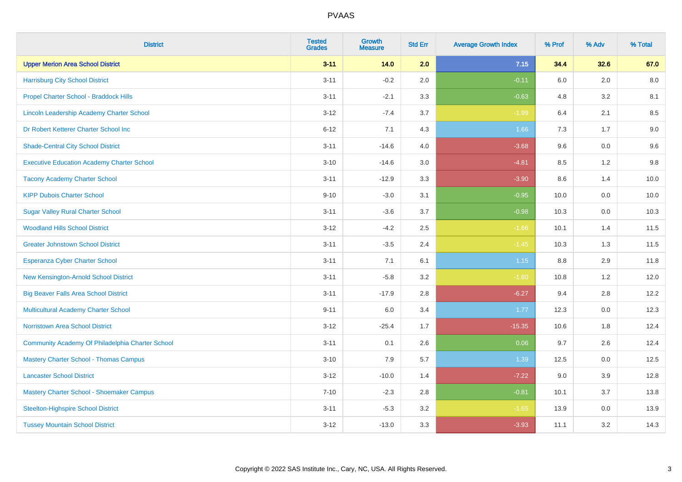| <b>District</b>                                   | <b>Tested</b><br><b>Grades</b> | <b>Growth</b><br><b>Measure</b> | <b>Std Err</b> | <b>Average Growth Index</b> | % Prof | % Adv | % Total |
|---------------------------------------------------|--------------------------------|---------------------------------|----------------|-----------------------------|--------|-------|---------|
| <b>Upper Merion Area School District</b>          | $3 - 11$                       | 14.0                            | 2.0            | 7.15                        | 34.4   | 32.6  | 67.0    |
| <b>Harrisburg City School District</b>            | $3 - 11$                       | $-0.2$                          | 2.0            | $-0.11$                     | 6.0    | 2.0   | 8.0     |
| Propel Charter School - Braddock Hills            | $3 - 11$                       | $-2.1$                          | 3.3            | $-0.63$                     | 4.8    | 3.2   | 8.1     |
| Lincoln Leadership Academy Charter School         | $3 - 12$                       | $-7.4$                          | 3.7            | $-1.99$                     | 6.4    | 2.1   | 8.5     |
| Dr Robert Ketterer Charter School Inc             | $6 - 12$                       | 7.1                             | 4.3            | 1.66                        | 7.3    | 1.7   | $9.0\,$ |
| <b>Shade-Central City School District</b>         | $3 - 11$                       | $-14.6$                         | 4.0            | $-3.68$                     | 9.6    | 0.0   | 9.6     |
| <b>Executive Education Academy Charter School</b> | $3 - 10$                       | $-14.6$                         | 3.0            | $-4.81$                     | 8.5    | 1.2   | $9.8\,$ |
| <b>Tacony Academy Charter School</b>              | $3 - 11$                       | $-12.9$                         | 3.3            | $-3.90$                     | 8.6    | 1.4   | 10.0    |
| <b>KIPP Dubois Charter School</b>                 | $9 - 10$                       | $-3.0$                          | 3.1            | $-0.95$                     | 10.0   | 0.0   | 10.0    |
| <b>Sugar Valley Rural Charter School</b>          | $3 - 11$                       | $-3.6$                          | 3.7            | $-0.98$                     | 10.3   | 0.0   | 10.3    |
| <b>Woodland Hills School District</b>             | $3 - 12$                       | $-4.2$                          | 2.5            | $-1.66$                     | 10.1   | 1.4   | 11.5    |
| <b>Greater Johnstown School District</b>          | $3 - 11$                       | $-3.5$                          | 2.4            | $-1.45$                     | 10.3   | 1.3   | 11.5    |
| Esperanza Cyber Charter School                    | $3 - 11$                       | 7.1                             | 6.1            | $1.15$                      | 8.8    | 2.9   | 11.8    |
| New Kensington-Arnold School District             | $3 - 11$                       | $-5.8$                          | 3.2            | $-1.80$                     | 10.8   | 1.2   | 12.0    |
| <b>Big Beaver Falls Area School District</b>      | $3 - 11$                       | $-17.9$                         | 2.8            | $-6.27$                     | 9.4    | 2.8   | 12.2    |
| <b>Multicultural Academy Charter School</b>       | $9 - 11$                       | 6.0                             | 3.4            | 1.77                        | 12.3   | 0.0   | 12.3    |
| Norristown Area School District                   | $3 - 12$                       | $-25.4$                         | 1.7            | $-15.35$                    | 10.6   | 1.8   | 12.4    |
| Community Academy Of Philadelphia Charter School  | $3 - 11$                       | 0.1                             | 2.6            | 0.06                        | 9.7    | 2.6   | 12.4    |
| <b>Mastery Charter School - Thomas Campus</b>     | $3 - 10$                       | 7.9                             | 5.7            | 1.39                        | 12.5   | 0.0   | 12.5    |
| <b>Lancaster School District</b>                  | $3 - 12$                       | $-10.0$                         | 1.4            | $-7.22$                     | 9.0    | 3.9   | 12.8    |
| Mastery Charter School - Shoemaker Campus         | $7 - 10$                       | $-2.3$                          | 2.8            | $-0.81$                     | 10.1   | 3.7   | 13.8    |
| <b>Steelton-Highspire School District</b>         | $3 - 11$                       | $-5.3$                          | 3.2            | $-1.65$                     | 13.9   | 0.0   | 13.9    |
| <b>Tussey Mountain School District</b>            | $3 - 12$                       | $-13.0$                         | 3.3            | $-3.93$                     | 11.1   | 3.2   | 14.3    |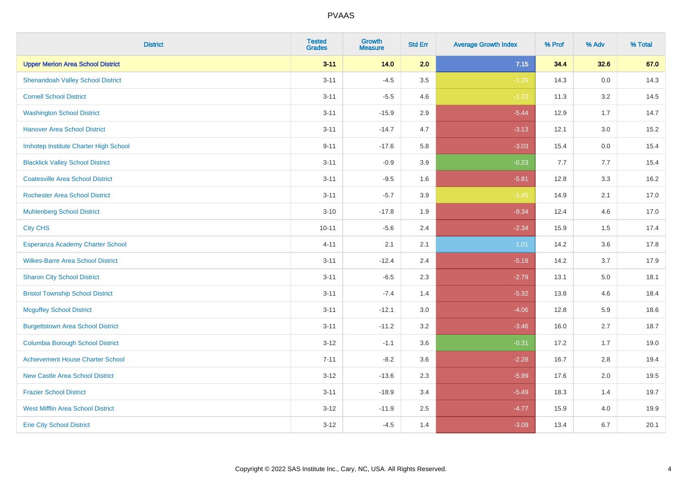| <b>District</b>                          | <b>Tested</b><br><b>Grades</b> | <b>Growth</b><br><b>Measure</b> | <b>Std Err</b> | <b>Average Growth Index</b> | % Prof | % Adv   | % Total |
|------------------------------------------|--------------------------------|---------------------------------|----------------|-----------------------------|--------|---------|---------|
| <b>Upper Merion Area School District</b> | $3 - 11$                       | 14.0                            | 2.0            | 7.15                        | 34.4   | 32.6    | 67.0    |
| <b>Shenandoah Valley School District</b> | $3 - 11$                       | $-4.5$                          | 3.5            | $-1.29$                     | 14.3   | $0.0\,$ | 14.3    |
| <b>Cornell School District</b>           | $3 - 11$                       | $-5.5$                          | 4.6            | $-1.20$                     | 11.3   | 3.2     | 14.5    |
| <b>Washington School District</b>        | $3 - 11$                       | $-15.9$                         | 2.9            | $-5.44$                     | 12.9   | 1.7     | 14.7    |
| <b>Hanover Area School District</b>      | $3 - 11$                       | $-14.7$                         | 4.7            | $-3.13$                     | 12.1   | 3.0     | 15.2    |
| Imhotep Institute Charter High School    | $9 - 11$                       | $-17.6$                         | 5.8            | $-3.03$                     | 15.4   | 0.0     | 15.4    |
| <b>Blacklick Valley School District</b>  | $3 - 11$                       | $-0.9$                          | 3.9            | $-0.23$                     | 7.7    | 7.7     | 15.4    |
| <b>Coatesville Area School District</b>  | $3 - 11$                       | $-9.5$                          | 1.6            | $-5.81$                     | 12.8   | 3.3     | 16.2    |
| <b>Rochester Area School District</b>    | $3 - 11$                       | $-5.7$                          | 3.9            | $-1.45$                     | 14.9   | 2.1     | 17.0    |
| <b>Muhlenberg School District</b>        | $3 - 10$                       | $-17.8$                         | 1.9            | $-9.34$                     | 12.4   | 4.6     | 17.0    |
| <b>City CHS</b>                          | $10 - 11$                      | $-5.6$                          | 2.4            | $-2.34$                     | 15.9   | 1.5     | 17.4    |
| Esperanza Academy Charter School         | $4 - 11$                       | 2.1                             | 2.1            | 1.01                        | 14.2   | 3.6     | 17.8    |
| <b>Wilkes-Barre Area School District</b> | $3 - 11$                       | $-12.4$                         | 2.4            | $-5.18$                     | 14.2   | 3.7     | 17.9    |
| <b>Sharon City School District</b>       | $3 - 11$                       | $-6.5$                          | 2.3            | $-2.79$                     | 13.1   | 5.0     | 18.1    |
| <b>Bristol Township School District</b>  | $3 - 11$                       | $-7.4$                          | 1.4            | $-5.32$                     | 13.8   | 4.6     | 18.4    |
| <b>Mcguffey School District</b>          | $3 - 11$                       | $-12.1$                         | 3.0            | $-4.06$                     | 12.8   | 5.9     | 18.6    |
| <b>Burgettstown Area School District</b> | $3 - 11$                       | $-11.2$                         | 3.2            | $-3.46$                     | 16.0   | 2.7     | 18.7    |
| <b>Columbia Borough School District</b>  | $3 - 12$                       | $-1.1$                          | 3.6            | $-0.31$                     | 17.2   | 1.7     | 19.0    |
| <b>Achievement House Charter School</b>  | $7 - 11$                       | $-8.2$                          | 3.6            | $-2.28$                     | 16.7   | 2.8     | 19.4    |
| <b>New Castle Area School District</b>   | $3 - 12$                       | $-13.6$                         | 2.3            | $-5.99$                     | 17.6   | 2.0     | 19.5    |
| <b>Frazier School District</b>           | $3 - 11$                       | $-18.9$                         | 3.4            | $-5.49$                     | 18.3   | 1.4     | 19.7    |
| <b>West Mifflin Area School District</b> | $3 - 12$                       | $-11.9$                         | 2.5            | $-4.77$                     | 15.9   | 4.0     | 19.9    |
| <b>Erie City School District</b>         | $3 - 12$                       | $-4.5$                          | 1.4            | $-3.09$                     | 13.4   | 6.7     | 20.1    |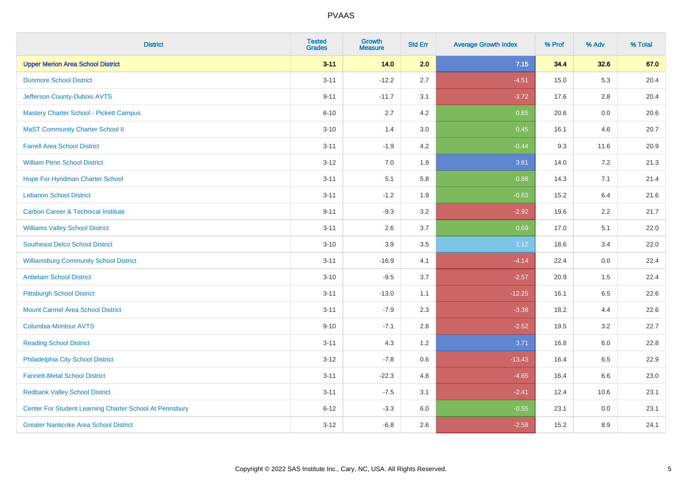| <b>District</b>                                         | <b>Tested</b><br><b>Grades</b> | Growth<br><b>Measure</b> | <b>Std Err</b> | <b>Average Growth Index</b> | % Prof | % Adv   | % Total |
|---------------------------------------------------------|--------------------------------|--------------------------|----------------|-----------------------------|--------|---------|---------|
| <b>Upper Merion Area School District</b>                | $3 - 11$                       | 14.0                     | 2.0            | 7.15                        | 34.4   | 32.6    | 67.0    |
| <b>Dunmore School District</b>                          | $3 - 11$                       | $-12.2$                  | 2.7            | $-4.51$                     | 15.0   | 5.3     | 20.4    |
| Jefferson County-Dubois AVTS                            | $9 - 11$                       | $-11.7$                  | 3.1            | $-3.72$                     | 17.6   | 2.8     | 20.4    |
| Mastery Charter School - Pickett Campus                 | $6 - 10$                       | 2.7                      | 4.2            | 0.65                        | 20.6   | $0.0\,$ | 20.6    |
| <b>MaST Community Charter School II</b>                 | $3 - 10$                       | 1.4                      | 3.0            | 0.45                        | 16.1   | 4.6     | 20.7    |
| <b>Farrell Area School District</b>                     | $3 - 11$                       | $-1.9$                   | 4.2            | $-0.44$                     | 9.3    | 11.6    | 20.9    |
| <b>William Penn School District</b>                     | $3 - 12$                       | 7.0                      | 1.9            | 3.61                        | 14.0   | 7.2     | 21.3    |
| Hope For Hyndman Charter School                         | $3 - 11$                       | 5.1                      | 5.8            | 0.88                        | 14.3   | 7.1     | 21.4    |
| <b>Lebanon School District</b>                          | $3 - 11$                       | $-1.2$                   | 1.9            | $-0.63$                     | 15.2   | 6.4     | 21.6    |
| <b>Carbon Career &amp; Technical Institute</b>          | $9 - 11$                       | $-9.3$                   | 3.2            | $-2.92$                     | 19.6   | 2.2     | 21.7    |
| <b>Williams Valley School District</b>                  | $3 - 11$                       | 2.6                      | 3.7            | 0.69                        | 17.0   | 5.1     | 22.0    |
| <b>Southeast Delco School District</b>                  | $3 - 10$                       | 3.9                      | 3.5            | 1.12                        | 18.6   | 3.4     | 22.0    |
| <b>Williamsburg Community School District</b>           | $3 - 11$                       | $-16.9$                  | 4.1            | $-4.14$                     | 22.4   | 0.0     | 22.4    |
| <b>Antietam School District</b>                         | $3 - 10$                       | $-9.5$                   | 3.7            | $-2.57$                     | 20.9   | $1.5$   | 22.4    |
| <b>Pittsburgh School District</b>                       | $3 - 11$                       | $-13.0$                  | 1.1            | $-12.25$                    | 16.1   | 6.5     | 22.6    |
| <b>Mount Carmel Area School District</b>                | $3 - 11$                       | $-7.9$                   | 2.3            | $-3.38$                     | 18.2   | 4.4     | 22.6    |
| Columbia-Montour AVTS                                   | $9 - 10$                       | $-7.1$                   | 2.8            | $-2.52$                     | 19.5   | 3.2     | 22.7    |
| <b>Reading School District</b>                          | $3 - 11$                       | 4.3                      | 1.2            | 3.71                        | 16.8   | 6.0     | 22.8    |
| Philadelphia City School District                       | $3-12$                         | $-7.8$                   | 0.6            | $-13.43$                    | 16.4   | 6.5     | 22.9    |
| <b>Fannett-Metal School District</b>                    | $3 - 11$                       | $-22.3$                  | 4.8            | $-4.65$                     | 16.4   | 6.6     | 23.0    |
| <b>Redbank Valley School District</b>                   | $3 - 11$                       | $-7.5$                   | 3.1            | $-2.41$                     | 12.4   | 10.6    | 23.1    |
| Center For Student Learning Charter School At Pennsbury | $6 - 12$                       | $-3.3$                   | 6.0            | $-0.55$                     | 23.1   | $0.0\,$ | 23.1    |
| <b>Greater Nanticoke Area School District</b>           | $3-12$                         | $-6.8$                   | 2.6            | $-2.58$                     | 15.2   | 8.9     | 24.1    |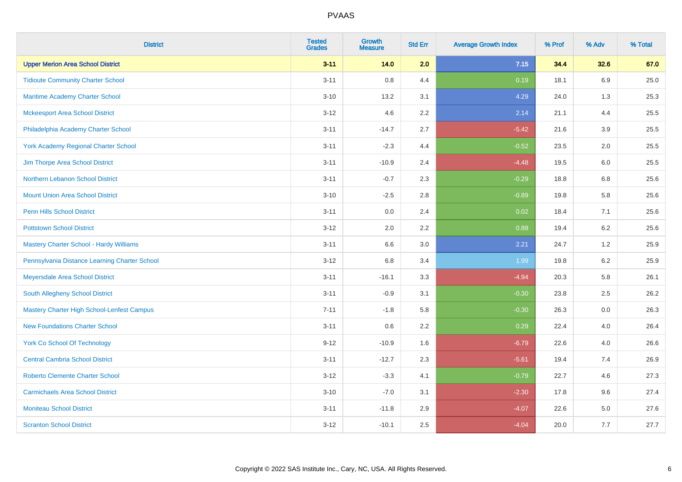| <b>District</b>                                   | <b>Tested</b><br><b>Grades</b> | <b>Growth</b><br><b>Measure</b> | <b>Std Err</b> | <b>Average Growth Index</b> | % Prof | % Adv   | % Total |
|---------------------------------------------------|--------------------------------|---------------------------------|----------------|-----------------------------|--------|---------|---------|
| <b>Upper Merion Area School District</b>          | $3 - 11$                       | 14.0                            | 2.0            | 7.15                        | 34.4   | 32.6    | 67.0    |
| <b>Tidioute Community Charter School</b>          | $3 - 11$                       | $0.8\,$                         | 4.4            | 0.19                        | 18.1   | 6.9     | 25.0    |
| Maritime Academy Charter School                   | $3 - 10$                       | 13.2                            | 3.1            | 4.29                        | 24.0   | 1.3     | 25.3    |
| <b>Mckeesport Area School District</b>            | $3 - 12$                       | 4.6                             | 2.2            | 2.14                        | 21.1   | 4.4     | 25.5    |
| Philadelphia Academy Charter School               | $3 - 11$                       | $-14.7$                         | 2.7            | $-5.42$                     | 21.6   | 3.9     | 25.5    |
| <b>York Academy Regional Charter School</b>       | $3 - 11$                       | $-2.3$                          | 4.4            | $-0.52$                     | 23.5   | 2.0     | 25.5    |
| Jim Thorpe Area School District                   | $3 - 11$                       | $-10.9$                         | 2.4            | $-4.48$                     | 19.5   | 6.0     | 25.5    |
| Northern Lebanon School District                  | $3 - 11$                       | $-0.7$                          | 2.3            | $-0.29$                     | 18.8   | 6.8     | 25.6    |
| <b>Mount Union Area School District</b>           | $3 - 10$                       | $-2.5$                          | 2.8            | $-0.89$                     | 19.8   | 5.8     | 25.6    |
| Penn Hills School District                        | $3 - 11$                       | 0.0                             | 2.4            | 0.02                        | 18.4   | 7.1     | 25.6    |
| <b>Pottstown School District</b>                  | $3 - 12$                       | 2.0                             | 2.2            | 0.88                        | 19.4   | 6.2     | 25.6    |
| <b>Mastery Charter School - Hardy Williams</b>    | $3 - 11$                       | 6.6                             | 3.0            | 2.21                        | 24.7   | 1.2     | 25.9    |
| Pennsylvania Distance Learning Charter School     | $3 - 12$                       | $6.8\,$                         | 3.4            | 1.99                        | 19.8   | $6.2\,$ | 25.9    |
| Meyersdale Area School District                   | $3 - 11$                       | $-16.1$                         | 3.3            | $-4.94$                     | 20.3   | 5.8     | 26.1    |
| South Allegheny School District                   | $3 - 11$                       | $-0.9$                          | 3.1            | $-0.30$                     | 23.8   | 2.5     | 26.2    |
| <b>Mastery Charter High School-Lenfest Campus</b> | $7 - 11$                       | $-1.8$                          | 5.8            | $-0.30$                     | 26.3   | 0.0     | 26.3    |
| <b>New Foundations Charter School</b>             | $3 - 11$                       | 0.6                             | 2.2            | 0.29                        | 22.4   | 4.0     | 26.4    |
| <b>York Co School Of Technology</b>               | $9 - 12$                       | $-10.9$                         | 1.6            | $-6.79$                     | 22.6   | 4.0     | 26.6    |
| <b>Central Cambria School District</b>            | $3 - 11$                       | $-12.7$                         | 2.3            | $-5.61$                     | 19.4   | 7.4     | 26.9    |
| <b>Roberto Clemente Charter School</b>            | $3 - 12$                       | $-3.3$                          | 4.1            | $-0.79$                     | 22.7   | 4.6     | 27.3    |
| <b>Carmichaels Area School District</b>           | $3 - 10$                       | $-7.0$                          | 3.1            | $-2.30$                     | 17.8   | 9.6     | 27.4    |
| <b>Moniteau School District</b>                   | $3 - 11$                       | $-11.8$                         | 2.9            | $-4.07$                     | 22.6   | 5.0     | 27.6    |
| <b>Scranton School District</b>                   | $3 - 12$                       | $-10.1$                         | 2.5            | $-4.04$                     | 20.0   | 7.7     | 27.7    |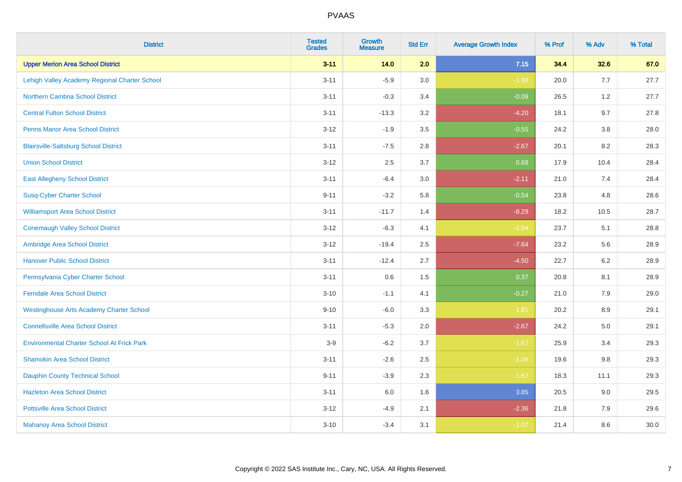| <b>District</b>                                   | <b>Tested</b><br><b>Grades</b> | <b>Growth</b><br><b>Measure</b> | <b>Std Err</b> | <b>Average Growth Index</b> | % Prof | % Adv   | % Total |
|---------------------------------------------------|--------------------------------|---------------------------------|----------------|-----------------------------|--------|---------|---------|
| <b>Upper Merion Area School District</b>          | $3 - 11$                       | 14.0                            | 2.0            | 7.15                        | 34.4   | 32.6    | 67.0    |
| Lehigh Valley Academy Regional Charter School     | $3 - 11$                       | $-5.9$                          | 3.0            | $-1.98$                     | 20.0   | 7.7     | 27.7    |
| <b>Northern Cambria School District</b>           | $3 - 11$                       | $-0.3$                          | 3.4            | $-0.09$                     | 26.5   | 1.2     | 27.7    |
| <b>Central Fulton School District</b>             | $3 - 11$                       | $-13.3$                         | 3.2            | $-4.20$                     | 18.1   | 9.7     | 27.8    |
| <b>Penns Manor Area School District</b>           | $3 - 12$                       | $-1.9$                          | 3.5            | $-0.55$                     | 24.2   | 3.8     | 28.0    |
| <b>Blairsville-Saltsburg School District</b>      | $3 - 11$                       | $-7.5$                          | 2.8            | $-2.67$                     | 20.1   | 8.2     | 28.3    |
| <b>Union School District</b>                      | $3 - 12$                       | 2.5                             | 3.7            | 0.69                        | 17.9   | 10.4    | 28.4    |
| <b>East Allegheny School District</b>             | $3 - 11$                       | $-6.4$                          | 3.0            | $-2.11$                     | 21.0   | 7.4     | 28.4    |
| <b>Susq-Cyber Charter School</b>                  | $9 - 11$                       | $-3.2$                          | 5.8            | $-0.54$                     | 23.8   | 4.8     | 28.6    |
| <b>Williamsport Area School District</b>          | $3 - 11$                       | $-11.7$                         | 1.4            | $-8.29$                     | 18.2   | 10.5    | 28.7    |
| <b>Conemaugh Valley School District</b>           | $3 - 12$                       | $-6.3$                          | 4.1            | $-1.54$                     | 23.7   | 5.1     | 28.8    |
| Ambridge Area School District                     | $3 - 12$                       | $-19.4$                         | 2.5            | $-7.64$                     | 23.2   | 5.6     | 28.9    |
| <b>Hanover Public School District</b>             | $3 - 11$                       | $-12.4$                         | 2.7            | $-4.50$                     | 22.7   | $6.2\,$ | 28.9    |
| Pennsylvania Cyber Charter School                 | $3 - 11$                       | 0.6                             | 1.5            | 0.37                        | 20.8   | 8.1     | 28.9    |
| <b>Ferndale Area School District</b>              | $3 - 10$                       | $-1.1$                          | 4.1            | $-0.27$                     | 21.0   | 7.9     | 29.0    |
| <b>Westinghouse Arts Academy Charter School</b>   | $9 - 10$                       | $-6.0$                          | 3.3            | $-1.81$                     | 20.2   | $8.9\,$ | 29.1    |
| <b>Connellsville Area School District</b>         | $3 - 11$                       | $-5.3$                          | 2.0            | $-2.67$                     | 24.2   | 5.0     | 29.1    |
| <b>Environmental Charter School At Frick Park</b> | $3-9$                          | $-6.2$                          | 3.7            | $-1.67$                     | 25.9   | 3.4     | 29.3    |
| <b>Shamokin Area School District</b>              | $3 - 11$                       | $-2.6$                          | 2.5            | $-1.06$                     | 19.6   | $9.8\,$ | 29.3    |
| <b>Dauphin County Technical School</b>            | $9 - 11$                       | $-3.9$                          | 2.3            | $-1.67$                     | 18.3   | 11.1    | 29.3    |
| <b>Hazleton Area School District</b>              | $3 - 11$                       | 6.0                             | 1.6            | 3.85                        | 20.5   | 9.0     | 29.5    |
| <b>Pottsville Area School District</b>            | $3 - 12$                       | $-4.9$                          | 2.1            | $-2.36$                     | 21.8   | 7.9     | 29.6    |
| <b>Mahanoy Area School District</b>               | $3 - 10$                       | $-3.4$                          | 3.1            | $-1.07$                     | 21.4   | 8.6     | 30.0    |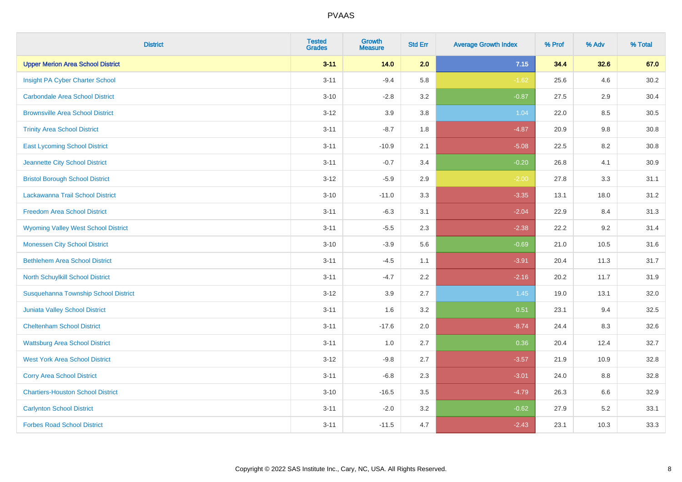| <b>District</b>                            | <b>Tested</b><br><b>Grades</b> | <b>Growth</b><br><b>Measure</b> | <b>Std Err</b> | <b>Average Growth Index</b> | % Prof | % Adv | % Total |
|--------------------------------------------|--------------------------------|---------------------------------|----------------|-----------------------------|--------|-------|---------|
| <b>Upper Merion Area School District</b>   | $3 - 11$                       | 14.0                            | 2.0            | 7.15                        | 34.4   | 32.6  | 67.0    |
| Insight PA Cyber Charter School            | $3 - 11$                       | $-9.4$                          | 5.8            | $-1.62$                     | 25.6   | 4.6   | 30.2    |
| <b>Carbondale Area School District</b>     | $3 - 10$                       | $-2.8$                          | 3.2            | $-0.87$                     | 27.5   | 2.9   | 30.4    |
| <b>Brownsville Area School District</b>    | $3 - 12$                       | 3.9                             | 3.8            | 1.04                        | 22.0   | 8.5   | 30.5    |
| <b>Trinity Area School District</b>        | $3 - 11$                       | $-8.7$                          | 1.8            | $-4.87$                     | 20.9   | 9.8   | 30.8    |
| <b>East Lycoming School District</b>       | $3 - 11$                       | $-10.9$                         | 2.1            | $-5.08$                     | 22.5   | 8.2   | 30.8    |
| Jeannette City School District             | $3 - 11$                       | $-0.7$                          | 3.4            | $-0.20$                     | 26.8   | 4.1   | 30.9    |
| <b>Bristol Borough School District</b>     | $3 - 12$                       | $-5.9$                          | 2.9            | $-2.00$                     | 27.8   | 3.3   | 31.1    |
| Lackawanna Trail School District           | $3 - 10$                       | $-11.0$                         | 3.3            | $-3.35$                     | 13.1   | 18.0  | 31.2    |
| <b>Freedom Area School District</b>        | $3 - 11$                       | $-6.3$                          | 3.1            | $-2.04$                     | 22.9   | 8.4   | 31.3    |
| <b>Wyoming Valley West School District</b> | $3 - 11$                       | $-5.5$                          | 2.3            | $-2.38$                     | 22.2   | 9.2   | 31.4    |
| <b>Monessen City School District</b>       | $3 - 10$                       | $-3.9$                          | 5.6            | $-0.69$                     | 21.0   | 10.5  | 31.6    |
| <b>Bethlehem Area School District</b>      | $3 - 11$                       | $-4.5$                          | 1.1            | $-3.91$                     | 20.4   | 11.3  | 31.7    |
| North Schuylkill School District           | $3 - 11$                       | $-4.7$                          | 2.2            | $-2.16$                     | 20.2   | 11.7  | 31.9    |
| Susquehanna Township School District       | $3 - 12$                       | 3.9                             | 2.7            | 1.45                        | 19.0   | 13.1  | 32.0    |
| Juniata Valley School District             | $3 - 11$                       | 1.6                             | 3.2            | 0.51                        | 23.1   | 9.4   | 32.5    |
| <b>Cheltenham School District</b>          | $3 - 11$                       | $-17.6$                         | 2.0            | $-8.74$                     | 24.4   | 8.3   | 32.6    |
| <b>Wattsburg Area School District</b>      | $3 - 11$                       | 1.0                             | 2.7            | 0.36                        | 20.4   | 12.4  | 32.7    |
| <b>West York Area School District</b>      | $3 - 12$                       | $-9.8$                          | 2.7            | $-3.57$                     | 21.9   | 10.9  | 32.8    |
| <b>Corry Area School District</b>          | $3 - 11$                       | $-6.8$                          | 2.3            | $-3.01$                     | 24.0   | 8.8   | 32.8    |
| <b>Chartiers-Houston School District</b>   | $3 - 10$                       | $-16.5$                         | 3.5            | $-4.79$                     | 26.3   | 6.6   | 32.9    |
| <b>Carlynton School District</b>           | $3 - 11$                       | $-2.0$                          | 3.2            | $-0.62$                     | 27.9   | 5.2   | 33.1    |
| <b>Forbes Road School District</b>         | $3 - 11$                       | $-11.5$                         | 4.7            | $-2.43$                     | 23.1   | 10.3  | 33.3    |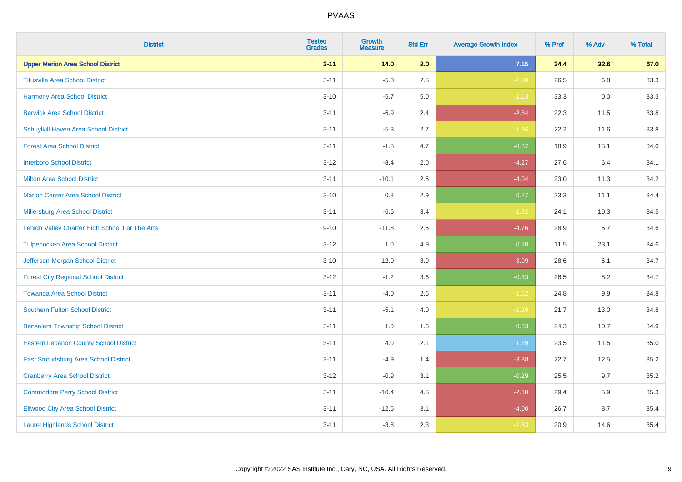| <b>District</b>                                | <b>Tested</b><br><b>Grades</b> | <b>Growth</b><br><b>Measure</b> | <b>Std Err</b> | <b>Average Growth Index</b> | % Prof | % Adv | % Total |
|------------------------------------------------|--------------------------------|---------------------------------|----------------|-----------------------------|--------|-------|---------|
| <b>Upper Merion Area School District</b>       | $3 - 11$                       | 14.0                            | 2.0            | 7.15                        | 34.4   | 32.6  | 67.0    |
| <b>Titusville Area School District</b>         | $3 - 11$                       | $-5.0$                          | 2.5            | $-1.98$                     | 26.5   | 6.8   | 33.3    |
| Harmony Area School District                   | $3 - 10$                       | $-5.7$                          | 5.0            | $-1.13$                     | 33.3   | 0.0   | 33.3    |
| <b>Berwick Area School District</b>            | $3 - 11$                       | $-6.9$                          | 2.4            | $-2.84$                     | 22.3   | 11.5  | 33.8    |
| Schuylkill Haven Area School District          | $3 - 11$                       | $-5.3$                          | 2.7            | $-1.96$                     | 22.2   | 11.6  | 33.8    |
| <b>Forest Area School District</b>             | $3 - 11$                       | $-1.8$                          | 4.7            | $-0.37$                     | 18.9   | 15.1  | 34.0    |
| <b>Interboro School District</b>               | $3 - 12$                       | $-8.4$                          | 2.0            | $-4.27$                     | 27.6   | 6.4   | 34.1    |
| <b>Milton Area School District</b>             | $3 - 11$                       | $-10.1$                         | 2.5            | $-4.04$                     | 23.0   | 11.3  | 34.2    |
| <b>Marion Center Area School District</b>      | $3 - 10$                       | 0.8                             | 2.9            | 0.27                        | 23.3   | 11.1  | 34.4    |
| <b>Millersburg Area School District</b>        | $3 - 11$                       | $-6.6$                          | 3.4            | $-1.92$                     | 24.1   | 10.3  | 34.5    |
| Lehigh Valley Charter High School For The Arts | $9 - 10$                       | $-11.8$                         | 2.5            | $-4.76$                     | 28.9   | 5.7   | 34.6    |
| <b>Tulpehocken Area School District</b>        | $3 - 12$                       | 1.0                             | 4.9            | 0.20                        | 11.5   | 23.1  | 34.6    |
| Jefferson-Morgan School District               | $3 - 10$                       | $-12.0$                         | 3.9            | $-3.09$                     | 28.6   | 6.1   | 34.7    |
| <b>Forest City Regional School District</b>    | $3 - 12$                       | $-1.2$                          | 3.6            | $-0.33$                     | 26.5   | 8.2   | 34.7    |
| <b>Towanda Area School District</b>            | $3 - 11$                       | $-4.0$                          | 2.6            | $-1.52$                     | 24.8   | 9.9   | 34.8    |
| <b>Southern Fulton School District</b>         | $3 - 11$                       | $-5.1$                          | 4.0            | $-1.29$                     | 21.7   | 13.0  | 34.8    |
| <b>Bensalem Township School District</b>       | $3 - 11$                       | 1.0                             | 1.6            | 0.63                        | 24.3   | 10.7  | 34.9    |
| <b>Eastern Lebanon County School District</b>  | $3 - 11$                       | 4.0                             | 2.1            | 1.89                        | 23.5   | 11.5  | 35.0    |
| East Stroudsburg Area School District          | $3 - 11$                       | $-4.9$                          | 1.4            | $-3.38$                     | 22.7   | 12.5  | 35.2    |
| <b>Cranberry Area School District</b>          | $3 - 12$                       | $-0.9$                          | 3.1            | $-0.29$                     | 25.5   | 9.7   | 35.2    |
| <b>Commodore Perry School District</b>         | $3 - 11$                       | $-10.4$                         | 4.5            | $-2.30$                     | 29.4   | 5.9   | 35.3    |
| <b>Ellwood City Area School District</b>       | $3 - 11$                       | $-12.5$                         | 3.1            | $-4.00$                     | 26.7   | 8.7   | 35.4    |
| <b>Laurel Highlands School District</b>        | $3 - 11$                       | $-3.8$                          | 2.3            | $-1.63$                     | 20.9   | 14.6  | 35.4    |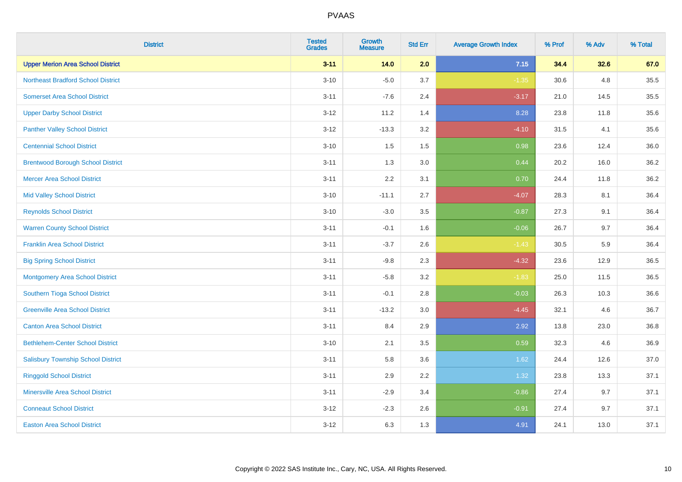| <b>District</b>                           | <b>Tested</b><br><b>Grades</b> | <b>Growth</b><br><b>Measure</b> | <b>Std Err</b> | <b>Average Growth Index</b> | % Prof | % Adv | % Total |
|-------------------------------------------|--------------------------------|---------------------------------|----------------|-----------------------------|--------|-------|---------|
| <b>Upper Merion Area School District</b>  | $3 - 11$                       | 14.0                            | 2.0            | 7.15                        | 34.4   | 32.6  | 67.0    |
| <b>Northeast Bradford School District</b> | $3 - 10$                       | $-5.0$                          | 3.7            | $-1.35$                     | 30.6   | 4.8   | 35.5    |
| <b>Somerset Area School District</b>      | $3 - 11$                       | $-7.6$                          | 2.4            | $-3.17$                     | 21.0   | 14.5  | 35.5    |
| <b>Upper Darby School District</b>        | $3 - 12$                       | 11.2                            | 1.4            | 8.28                        | 23.8   | 11.8  | 35.6    |
| <b>Panther Valley School District</b>     | $3-12$                         | $-13.3$                         | 3.2            | $-4.10$                     | 31.5   | 4.1   | 35.6    |
| <b>Centennial School District</b>         | $3 - 10$                       | 1.5                             | 1.5            | 0.98                        | 23.6   | 12.4  | 36.0    |
| <b>Brentwood Borough School District</b>  | $3 - 11$                       | 1.3                             | 3.0            | 0.44                        | 20.2   | 16.0  | 36.2    |
| <b>Mercer Area School District</b>        | $3 - 11$                       | 2.2                             | 3.1            | 0.70                        | 24.4   | 11.8  | 36.2    |
| <b>Mid Valley School District</b>         | $3 - 10$                       | $-11.1$                         | 2.7            | $-4.07$                     | 28.3   | 8.1   | 36.4    |
| <b>Reynolds School District</b>           | $3 - 10$                       | $-3.0$                          | 3.5            | $-0.87$                     | 27.3   | 9.1   | 36.4    |
| <b>Warren County School District</b>      | $3 - 11$                       | $-0.1$                          | 1.6            | $-0.06$                     | 26.7   | 9.7   | 36.4    |
| <b>Franklin Area School District</b>      | $3 - 11$                       | $-3.7$                          | 2.6            | $-1.43$                     | 30.5   | 5.9   | 36.4    |
| <b>Big Spring School District</b>         | $3 - 11$                       | $-9.8$                          | 2.3            | $-4.32$                     | 23.6   | 12.9  | 36.5    |
| <b>Montgomery Area School District</b>    | $3 - 11$                       | $-5.8$                          | 3.2            | $-1.83$                     | 25.0   | 11.5  | 36.5    |
| Southern Tioga School District            | $3 - 11$                       | $-0.1$                          | 2.8            | $-0.03$                     | 26.3   | 10.3  | 36.6    |
| <b>Greenville Area School District</b>    | $3 - 11$                       | $-13.2$                         | 3.0            | $-4.45$                     | 32.1   | 4.6   | 36.7    |
| <b>Canton Area School District</b>        | $3 - 11$                       | 8.4                             | 2.9            | 2.92                        | 13.8   | 23.0  | 36.8    |
| <b>Bethlehem-Center School District</b>   | $3 - 10$                       | 2.1                             | 3.5            | 0.59                        | 32.3   | 4.6   | 36.9    |
| <b>Salisbury Township School District</b> | $3 - 11$                       | 5.8                             | 3.6            | 1.62                        | 24.4   | 12.6  | 37.0    |
| <b>Ringgold School District</b>           | $3 - 11$                       | 2.9                             | 2.2            | 1.32                        | 23.8   | 13.3  | 37.1    |
| <b>Minersville Area School District</b>   | $3 - 11$                       | $-2.9$                          | 3.4            | $-0.86$                     | 27.4   | 9.7   | 37.1    |
| <b>Conneaut School District</b>           | $3-12$                         | $-2.3$                          | 2.6            | $-0.91$                     | 27.4   | 9.7   | 37.1    |
| <b>Easton Area School District</b>        | $3 - 12$                       | 6.3                             | 1.3            | 4.91                        | 24.1   | 13.0  | 37.1    |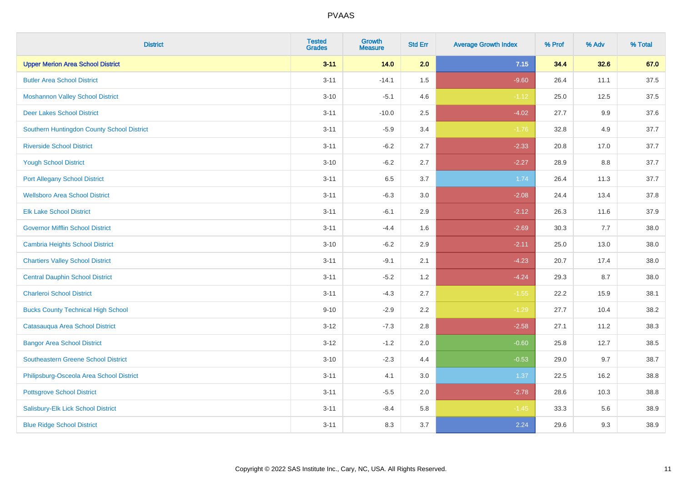| <b>District</b>                            | <b>Tested</b><br><b>Grades</b> | <b>Growth</b><br><b>Measure</b> | <b>Std Err</b> | <b>Average Growth Index</b> | % Prof | % Adv   | % Total |
|--------------------------------------------|--------------------------------|---------------------------------|----------------|-----------------------------|--------|---------|---------|
| <b>Upper Merion Area School District</b>   | $3 - 11$                       | 14.0                            | 2.0            | 7.15                        | 34.4   | 32.6    | 67.0    |
| <b>Butler Area School District</b>         | $3 - 11$                       | $-14.1$                         | 1.5            | $-9.60$                     | 26.4   | 11.1    | 37.5    |
| <b>Moshannon Valley School District</b>    | $3 - 10$                       | $-5.1$                          | 4.6            | $-1.12$                     | 25.0   | 12.5    | 37.5    |
| <b>Deer Lakes School District</b>          | $3 - 11$                       | $-10.0$                         | 2.5            | $-4.02$                     | 27.7   | $9.9\,$ | 37.6    |
| Southern Huntingdon County School District | $3 - 11$                       | $-5.9$                          | 3.4            | $-1.76$                     | 32.8   | 4.9     | 37.7    |
| <b>Riverside School District</b>           | $3 - 11$                       | $-6.2$                          | 2.7            | $-2.33$                     | 20.8   | 17.0    | 37.7    |
| <b>Yough School District</b>               | $3 - 10$                       | $-6.2$                          | 2.7            | $-2.27$                     | 28.9   | 8.8     | 37.7    |
| <b>Port Allegany School District</b>       | $3 - 11$                       | 6.5                             | 3.7            | 1.74                        | 26.4   | 11.3    | 37.7    |
| <b>Wellsboro Area School District</b>      | $3 - 11$                       | $-6.3$                          | 3.0            | $-2.08$                     | 24.4   | 13.4    | 37.8    |
| <b>Elk Lake School District</b>            | $3 - 11$                       | $-6.1$                          | 2.9            | $-2.12$                     | 26.3   | 11.6    | 37.9    |
| <b>Governor Mifflin School District</b>    | $3 - 11$                       | $-4.4$                          | 1.6            | $-2.69$                     | 30.3   | 7.7     | 38.0    |
| <b>Cambria Heights School District</b>     | $3 - 10$                       | $-6.2$                          | 2.9            | $-2.11$                     | 25.0   | 13.0    | 38.0    |
| <b>Chartiers Valley School District</b>    | $3 - 11$                       | $-9.1$                          | 2.1            | $-4.23$                     | 20.7   | 17.4    | 38.0    |
| <b>Central Dauphin School District</b>     | $3 - 11$                       | $-5.2$                          | 1.2            | $-4.24$                     | 29.3   | 8.7     | 38.0    |
| <b>Charleroi School District</b>           | $3 - 11$                       | $-4.3$                          | 2.7            | $-1.55$                     | 22.2   | 15.9    | 38.1    |
| <b>Bucks County Technical High School</b>  | $9 - 10$                       | $-2.9$                          | 2.2            | $-1.29$                     | 27.7   | 10.4    | 38.2    |
| Catasauqua Area School District            | $3 - 12$                       | $-7.3$                          | 2.8            | $-2.58$                     | 27.1   | 11.2    | 38.3    |
| <b>Bangor Area School District</b>         | $3 - 12$                       | $-1.2$                          | 2.0            | $-0.60$                     | 25.8   | 12.7    | 38.5    |
| <b>Southeastern Greene School District</b> | $3 - 10$                       | $-2.3$                          | 4.4            | $-0.53$                     | 29.0   | 9.7     | 38.7    |
| Philipsburg-Osceola Area School District   | $3 - 11$                       | 4.1                             | 3.0            | 1.37                        | 22.5   | 16.2    | 38.8    |
| <b>Pottsgrove School District</b>          | $3 - 11$                       | $-5.5$                          | 2.0            | $-2.78$                     | 28.6   | 10.3    | 38.8    |
| Salisbury-Elk Lick School District         | $3 - 11$                       | $-8.4$                          | 5.8            | $-1.45$                     | 33.3   | 5.6     | 38.9    |
| <b>Blue Ridge School District</b>          | $3 - 11$                       | 8.3                             | 3.7            | 2.24                        | 29.6   | 9.3     | 38.9    |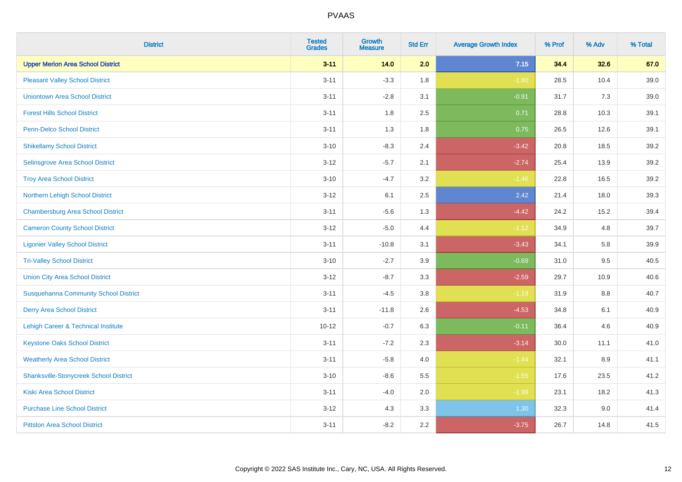| <b>District</b>                               | <b>Tested</b><br><b>Grades</b> | <b>Growth</b><br><b>Measure</b> | <b>Std Err</b> | <b>Average Growth Index</b> | % Prof | % Adv | % Total |
|-----------------------------------------------|--------------------------------|---------------------------------|----------------|-----------------------------|--------|-------|---------|
| <b>Upper Merion Area School District</b>      | $3 - 11$                       | 14.0                            | 2.0            | 7.15                        | 34.4   | 32.6  | 67.0    |
| <b>Pleasant Valley School District</b>        | $3 - 11$                       | $-3.3$                          | 1.8            | $-1.80$                     | 28.5   | 10.4  | 39.0    |
| <b>Uniontown Area School District</b>         | $3 - 11$                       | $-2.8$                          | 3.1            | $-0.91$                     | 31.7   | 7.3   | 39.0    |
| <b>Forest Hills School District</b>           | $3 - 11$                       | 1.8                             | 2.5            | 0.71                        | 28.8   | 10.3  | 39.1    |
| <b>Penn-Delco School District</b>             | $3 - 11$                       | 1.3                             | 1.8            | 0.75                        | 26.5   | 12.6  | 39.1    |
| <b>Shikellamy School District</b>             | $3 - 10$                       | $-8.3$                          | 2.4            | $-3.42$                     | 20.8   | 18.5  | 39.2    |
| Selinsgrove Area School District              | $3 - 12$                       | $-5.7$                          | 2.1            | $-2.74$                     | 25.4   | 13.9  | 39.2    |
| <b>Troy Area School District</b>              | $3 - 10$                       | $-4.7$                          | 3.2            | $-1.46$                     | 22.8   | 16.5  | 39.2    |
| Northern Lehigh School District               | $3-12$                         | 6.1                             | 2.5            | 2.42                        | 21.4   | 18.0  | 39.3    |
| <b>Chambersburg Area School District</b>      | $3 - 11$                       | $-5.6$                          | 1.3            | $-4.42$                     | 24.2   | 15.2  | 39.4    |
| <b>Cameron County School District</b>         | $3 - 12$                       | $-5.0$                          | 4.4            | $-1.12$                     | 34.9   | 4.8   | 39.7    |
| <b>Ligonier Valley School District</b>        | $3 - 11$                       | $-10.8$                         | 3.1            | $-3.43$                     | 34.1   | 5.8   | 39.9    |
| <b>Tri-Valley School District</b>             | $3 - 10$                       | $-2.7$                          | 3.9            | $-0.69$                     | 31.0   | 9.5   | 40.5    |
| <b>Union City Area School District</b>        | $3 - 12$                       | $-8.7$                          | 3.3            | $-2.59$                     | 29.7   | 10.9  | 40.6    |
| <b>Susquehanna Community School District</b>  | $3 - 11$                       | $-4.5$                          | 3.8            | $-1.19$                     | 31.9   | 8.8   | 40.7    |
| <b>Derry Area School District</b>             | $3 - 11$                       | $-11.8$                         | 2.6            | $-4.53$                     | 34.8   | 6.1   | 40.9    |
| Lehigh Career & Technical Institute           | $10 - 12$                      | $-0.7$                          | 6.3            | $-0.11$                     | 36.4   | 4.6   | 40.9    |
| <b>Keystone Oaks School District</b>          | $3 - 11$                       | $-7.2$                          | 2.3            | $-3.14$                     | 30.0   | 11.1  | 41.0    |
| <b>Weatherly Area School District</b>         | $3 - 11$                       | $-5.8$                          | 4.0            | $-1.44$                     | 32.1   | 8.9   | 41.1    |
| <b>Shanksville-Stonycreek School District</b> | $3 - 10$                       | $-8.6$                          | 5.5            | $-1.55$                     | 17.6   | 23.5  | 41.2    |
| <b>Kiski Area School District</b>             | $3 - 11$                       | $-4.0$                          | 2.0            | $-1.99$                     | 23.1   | 18.2  | 41.3    |
| <b>Purchase Line School District</b>          | $3 - 12$                       | 4.3                             | 3.3            | 1.30                        | 32.3   | 9.0   | 41.4    |
| <b>Pittston Area School District</b>          | $3 - 11$                       | $-8.2$                          | 2.2            | $-3.75$                     | 26.7   | 14.8  | 41.5    |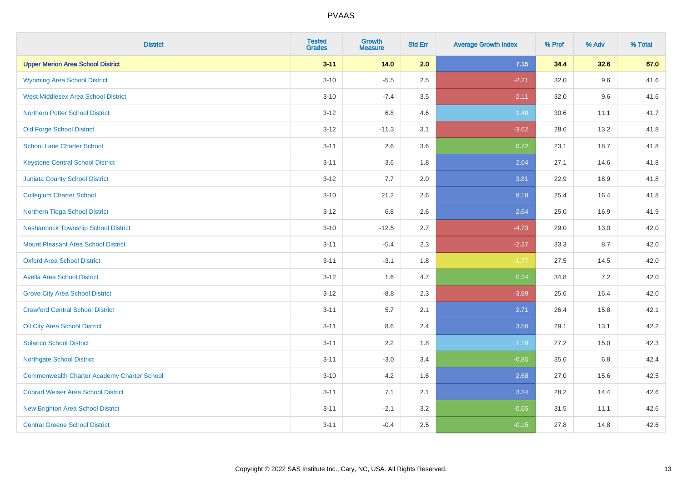| <b>District</b>                                    | <b>Tested</b><br><b>Grades</b> | <b>Growth</b><br><b>Measure</b> | <b>Std Err</b> | <b>Average Growth Index</b> | % Prof | % Adv   | % Total |
|----------------------------------------------------|--------------------------------|---------------------------------|----------------|-----------------------------|--------|---------|---------|
| <b>Upper Merion Area School District</b>           | $3 - 11$                       | 14.0                            | 2.0            | 7.15                        | 34.4   | 32.6    | 67.0    |
| <b>Wyoming Area School District</b>                | $3 - 10$                       | $-5.5$                          | 2.5            | $-2.21$                     | 32.0   | 9.6     | 41.6    |
| <b>West Middlesex Area School District</b>         | $3 - 10$                       | $-7.4$                          | 3.5            | $-2.11$                     | 32.0   | 9.6     | 41.6    |
| <b>Northern Potter School District</b>             | $3 - 12$                       | 6.8                             | 4.6            | 1.48                        | 30.6   | 11.1    | 41.7    |
| <b>Old Forge School District</b>                   | $3-12$                         | $-11.3$                         | 3.1            | $-3.62$                     | 28.6   | 13.2    | 41.8    |
| <b>School Lane Charter School</b>                  | $3 - 11$                       | 2.6                             | 3.6            | 0.72                        | 23.1   | 18.7    | 41.8    |
| <b>Keystone Central School District</b>            | $3 - 11$                       | 3.6                             | 1.8            | 2.04                        | 27.1   | 14.6    | 41.8    |
| <b>Juniata County School District</b>              | $3 - 12$                       | 7.7                             | 2.0            | 3.81                        | 22.9   | 18.9    | 41.8    |
| <b>Collegium Charter School</b>                    | $3 - 10$                       | 21.2                            | 2.6            | 8.18                        | 25.4   | 16.4    | 41.8    |
| Northern Tioga School District                     | $3 - 12$                       | 6.8                             | 2.6            | 2.64                        | 25.0   | 16.9    | 41.9    |
| <b>Neshannock Township School District</b>         | $3 - 10$                       | $-12.5$                         | 2.7            | $-4.73$                     | 29.0   | 13.0    | 42.0    |
| Mount Pleasant Area School District                | $3 - 11$                       | $-5.4$                          | 2.3            | $-2.37$                     | 33.3   | 8.7     | 42.0    |
| <b>Oxford Area School District</b>                 | $3 - 11$                       | $-3.1$                          | 1.8            | $-1.77$                     | 27.5   | 14.5    | 42.0    |
| <b>Avella Area School District</b>                 | $3-12$                         | 1.6                             | 4.7            | 0.34                        | 34.8   | $7.2\,$ | 42.0    |
| <b>Grove City Area School District</b>             | $3 - 12$                       | $-8.8$                          | 2.3            | $-3.89$                     | 25.6   | 16.4    | 42.0    |
| <b>Crawford Central School District</b>            | $3 - 11$                       | 5.7                             | 2.1            | 2.71                        | 26.4   | 15.8    | 42.1    |
| <b>Oil City Area School District</b>               | $3 - 11$                       | 8.6                             | 2.4            | 3.56                        | 29.1   | 13.1    | 42.2    |
| <b>Solanco School District</b>                     | $3 - 11$                       | 2.2                             | 1.8            | 1.18                        | 27.2   | 15.0    | 42.3    |
| <b>Northgate School District</b>                   | $3 - 11$                       | $-3.0$                          | 3.4            | $-0.85$                     | 35.6   | 6.8     | 42.4    |
| <b>Commonwealth Charter Academy Charter School</b> | $3 - 10$                       | 4.2                             | 1.6            | 2.68                        | 27.0   | 15.6    | 42.5    |
| <b>Conrad Weiser Area School District</b>          | $3 - 11$                       | 7.1                             | 2.1            | 3.34                        | 28.2   | 14.4    | 42.6    |
| New Brighton Area School District                  | $3 - 11$                       | $-2.1$                          | 3.2            | $-0.65$                     | 31.5   | 11.1    | 42.6    |
| <b>Central Greene School District</b>              | $3 - 11$                       | $-0.4$                          | 2.5            | $-0.15$                     | 27.8   | 14.8    | 42.6    |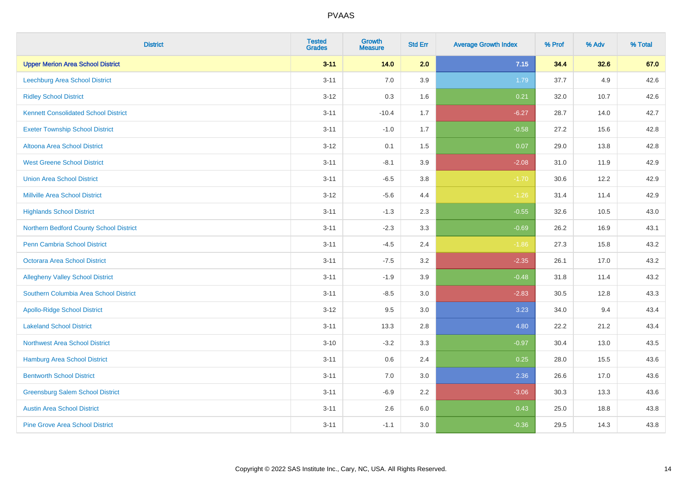| <b>District</b>                             | <b>Tested</b><br><b>Grades</b> | <b>Growth</b><br><b>Measure</b> | <b>Std Err</b> | <b>Average Growth Index</b> | % Prof | % Adv | % Total |
|---------------------------------------------|--------------------------------|---------------------------------|----------------|-----------------------------|--------|-------|---------|
| <b>Upper Merion Area School District</b>    | $3 - 11$                       | 14.0                            | 2.0            | 7.15                        | 34.4   | 32.6  | 67.0    |
| Leechburg Area School District              | $3 - 11$                       | 7.0                             | 3.9            | 1.79                        | 37.7   | 4.9   | 42.6    |
| <b>Ridley School District</b>               | $3 - 12$                       | 0.3                             | 1.6            | 0.21                        | 32.0   | 10.7  | 42.6    |
| <b>Kennett Consolidated School District</b> | $3 - 11$                       | $-10.4$                         | 1.7            | $-6.27$                     | 28.7   | 14.0  | 42.7    |
| <b>Exeter Township School District</b>      | $3 - 11$                       | $-1.0$                          | 1.7            | $-0.58$                     | 27.2   | 15.6  | 42.8    |
| <b>Altoona Area School District</b>         | $3 - 12$                       | 0.1                             | 1.5            | 0.07                        | 29.0   | 13.8  | 42.8    |
| <b>West Greene School District</b>          | $3 - 11$                       | $-8.1$                          | 3.9            | $-2.08$                     | 31.0   | 11.9  | 42.9    |
| <b>Union Area School District</b>           | $3 - 11$                       | $-6.5$                          | 3.8            | $-1.70$                     | 30.6   | 12.2  | 42.9    |
| <b>Millville Area School District</b>       | $3-12$                         | $-5.6$                          | 4.4            | $-1.26$                     | 31.4   | 11.4  | 42.9    |
| <b>Highlands School District</b>            | $3 - 11$                       | $-1.3$                          | 2.3            | $-0.55$                     | 32.6   | 10.5  | 43.0    |
| Northern Bedford County School District     | $3 - 11$                       | $-2.3$                          | 3.3            | $-0.69$                     | 26.2   | 16.9  | 43.1    |
| <b>Penn Cambria School District</b>         | $3 - 11$                       | $-4.5$                          | 2.4            | $-1.86$                     | 27.3   | 15.8  | 43.2    |
| Octorara Area School District               | $3 - 11$                       | $-7.5$                          | 3.2            | $-2.35$                     | 26.1   | 17.0  | 43.2    |
| <b>Allegheny Valley School District</b>     | $3 - 11$                       | $-1.9$                          | 3.9            | $-0.48$                     | 31.8   | 11.4  | 43.2    |
| Southern Columbia Area School District      | $3 - 11$                       | $-8.5$                          | 3.0            | $-2.83$                     | 30.5   | 12.8  | 43.3    |
| <b>Apollo-Ridge School District</b>         | $3 - 12$                       | 9.5                             | $3.0\,$        | 3.23                        | 34.0   | 9.4   | 43.4    |
| <b>Lakeland School District</b>             | $3 - 11$                       | 13.3                            | 2.8            | 4.80                        | 22.2   | 21.2  | 43.4    |
| <b>Northwest Area School District</b>       | $3 - 10$                       | $-3.2$                          | 3.3            | $-0.97$                     | 30.4   | 13.0  | 43.5    |
| <b>Hamburg Area School District</b>         | $3 - 11$                       | 0.6                             | 2.4            | 0.25                        | 28.0   | 15.5  | 43.6    |
| <b>Bentworth School District</b>            | $3 - 11$                       | 7.0                             | 3.0            | 2.36                        | 26.6   | 17.0  | 43.6    |
| <b>Greensburg Salem School District</b>     | $3 - 11$                       | $-6.9$                          | 2.2            | $-3.06$                     | 30.3   | 13.3  | 43.6    |
| <b>Austin Area School District</b>          | $3 - 11$                       | 2.6                             | 6.0            | 0.43                        | 25.0   | 18.8  | 43.8    |
| <b>Pine Grove Area School District</b>      | $3 - 11$                       | $-1.1$                          | 3.0            | $-0.36$                     | 29.5   | 14.3  | 43.8    |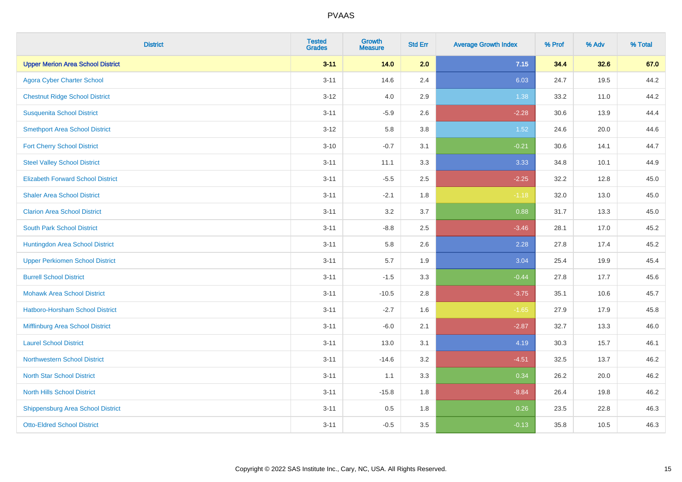| <b>District</b>                          | <b>Tested</b><br><b>Grades</b> | <b>Growth</b><br><b>Measure</b> | <b>Std Err</b> | <b>Average Growth Index</b> | % Prof | % Adv | % Total |
|------------------------------------------|--------------------------------|---------------------------------|----------------|-----------------------------|--------|-------|---------|
| <b>Upper Merion Area School District</b> | $3 - 11$                       | 14.0                            | 2.0            | 7.15                        | 34.4   | 32.6  | 67.0    |
| <b>Agora Cyber Charter School</b>        | $3 - 11$                       | 14.6                            | 2.4            | 6.03                        | 24.7   | 19.5  | 44.2    |
| <b>Chestnut Ridge School District</b>    | $3 - 12$                       | 4.0                             | 2.9            | 1.38                        | 33.2   | 11.0  | 44.2    |
| <b>Susquenita School District</b>        | $3 - 11$                       | $-5.9$                          | 2.6            | $-2.28$                     | 30.6   | 13.9  | 44.4    |
| <b>Smethport Area School District</b>    | $3 - 12$                       | 5.8                             | 3.8            | 1.52                        | 24.6   | 20.0  | 44.6    |
| <b>Fort Cherry School District</b>       | $3 - 10$                       | $-0.7$                          | 3.1            | $-0.21$                     | 30.6   | 14.1  | 44.7    |
| <b>Steel Valley School District</b>      | $3 - 11$                       | 11.1                            | 3.3            | 3.33                        | 34.8   | 10.1  | 44.9    |
| <b>Elizabeth Forward School District</b> | $3 - 11$                       | $-5.5$                          | 2.5            | $-2.25$                     | 32.2   | 12.8  | 45.0    |
| <b>Shaler Area School District</b>       | $3 - 11$                       | $-2.1$                          | 1.8            | $-1.18$                     | 32.0   | 13.0  | 45.0    |
| <b>Clarion Area School District</b>      | $3 - 11$                       | 3.2                             | 3.7            | 0.88                        | 31.7   | 13.3  | 45.0    |
| <b>South Park School District</b>        | $3 - 11$                       | $-8.8$                          | 2.5            | $-3.46$                     | 28.1   | 17.0  | 45.2    |
| Huntingdon Area School District          | $3 - 11$                       | 5.8                             | 2.6            | 2.28                        | 27.8   | 17.4  | 45.2    |
| <b>Upper Perkiomen School District</b>   | $3 - 11$                       | 5.7                             | 1.9            | 3.04                        | 25.4   | 19.9  | 45.4    |
| <b>Burrell School District</b>           | $3 - 11$                       | $-1.5$                          | 3.3            | $-0.44$                     | 27.8   | 17.7  | 45.6    |
| <b>Mohawk Area School District</b>       | $3 - 11$                       | $-10.5$                         | 2.8            | $-3.75$                     | 35.1   | 10.6  | 45.7    |
| <b>Hatboro-Horsham School District</b>   | $3 - 11$                       | $-2.7$                          | 1.6            | $-1.65$                     | 27.9   | 17.9  | 45.8    |
| Mifflinburg Area School District         | $3 - 11$                       | $-6.0$                          | 2.1            | $-2.87$                     | 32.7   | 13.3  | 46.0    |
| <b>Laurel School District</b>            | $3 - 11$                       | 13.0                            | 3.1            | 4.19                        | 30.3   | 15.7  | 46.1    |
| Northwestern School District             | $3 - 11$                       | $-14.6$                         | 3.2            | $-4.51$                     | 32.5   | 13.7  | 46.2    |
| <b>North Star School District</b>        | $3 - 11$                       | 1.1                             | 3.3            | 0.34                        | 26.2   | 20.0  | 46.2    |
| <b>North Hills School District</b>       | $3 - 11$                       | $-15.8$                         | 1.8            | $-8.84$                     | 26.4   | 19.8  | 46.2    |
| <b>Shippensburg Area School District</b> | $3 - 11$                       | 0.5                             | 1.8            | 0.26                        | 23.5   | 22.8  | 46.3    |
| <b>Otto-Eldred School District</b>       | $3 - 11$                       | $-0.5$                          | 3.5            | $-0.13$                     | 35.8   | 10.5  | 46.3    |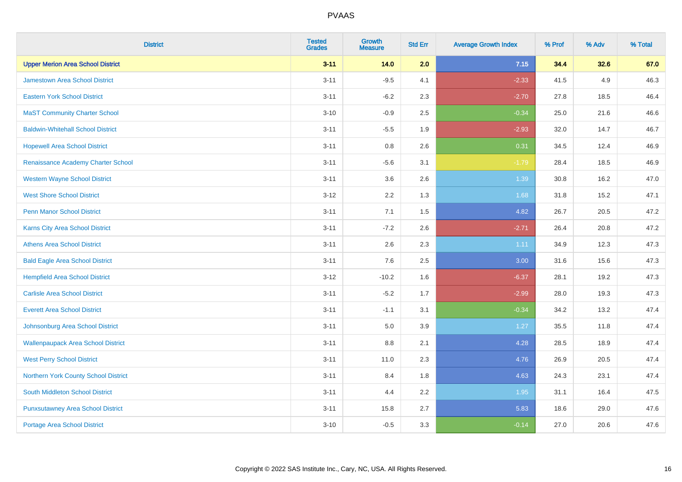| <b>District</b>                           | <b>Tested</b><br><b>Grades</b> | <b>Growth</b><br><b>Measure</b> | <b>Std Err</b> | <b>Average Growth Index</b> | % Prof | % Adv | % Total |
|-------------------------------------------|--------------------------------|---------------------------------|----------------|-----------------------------|--------|-------|---------|
| <b>Upper Merion Area School District</b>  | $3 - 11$                       | 14.0                            | 2.0            | 7.15                        | 34.4   | 32.6  | 67.0    |
| <b>Jamestown Area School District</b>     | $3 - 11$                       | $-9.5$                          | 4.1            | $-2.33$                     | 41.5   | 4.9   | 46.3    |
| <b>Eastern York School District</b>       | $3 - 11$                       | $-6.2$                          | 2.3            | $-2.70$                     | 27.8   | 18.5  | 46.4    |
| <b>MaST Community Charter School</b>      | $3 - 10$                       | $-0.9$                          | 2.5            | $-0.34$                     | 25.0   | 21.6  | 46.6    |
| <b>Baldwin-Whitehall School District</b>  | $3 - 11$                       | $-5.5$                          | 1.9            | $-2.93$                     | 32.0   | 14.7  | 46.7    |
| <b>Hopewell Area School District</b>      | $3 - 11$                       | 0.8                             | 2.6            | 0.31                        | 34.5   | 12.4  | 46.9    |
| Renaissance Academy Charter School        | $3 - 11$                       | $-5.6$                          | 3.1            | $-1.79$                     | 28.4   | 18.5  | 46.9    |
| <b>Western Wayne School District</b>      | $3 - 11$                       | 3.6                             | 2.6            | 1.39                        | 30.8   | 16.2  | 47.0    |
| <b>West Shore School District</b>         | $3-12$                         | 2.2                             | 1.3            | 1.68                        | 31.8   | 15.2  | 47.1    |
| <b>Penn Manor School District</b>         | $3 - 11$                       | 7.1                             | 1.5            | 4.82                        | 26.7   | 20.5  | 47.2    |
| Karns City Area School District           | $3 - 11$                       | $-7.2$                          | 2.6            | $-2.71$                     | 26.4   | 20.8  | 47.2    |
| <b>Athens Area School District</b>        | $3 - 11$                       | 2.6                             | 2.3            | 1.11                        | 34.9   | 12.3  | 47.3    |
| <b>Bald Eagle Area School District</b>    | $3 - 11$                       | 7.6                             | 2.5            | 3.00                        | 31.6   | 15.6  | 47.3    |
| <b>Hempfield Area School District</b>     | $3 - 12$                       | $-10.2$                         | 1.6            | $-6.37$                     | 28.1   | 19.2  | 47.3    |
| <b>Carlisle Area School District</b>      | $3 - 11$                       | $-5.2$                          | 1.7            | $-2.99$                     | 28.0   | 19.3  | 47.3    |
| <b>Everett Area School District</b>       | $3 - 11$                       | $-1.1$                          | 3.1            | $-0.34$                     | 34.2   | 13.2  | 47.4    |
| Johnsonburg Area School District          | $3 - 11$                       | 5.0                             | 3.9            | $1.27$                      | 35.5   | 11.8  | 47.4    |
| <b>Wallenpaupack Area School District</b> | $3 - 11$                       | 8.8                             | 2.1            | 4.28                        | 28.5   | 18.9  | 47.4    |
| <b>West Perry School District</b>         | $3 - 11$                       | 11.0                            | 2.3            | 4.76                        | 26.9   | 20.5  | 47.4    |
| Northern York County School District      | $3 - 11$                       | 8.4                             | 1.8            | 4.63                        | 24.3   | 23.1  | 47.4    |
| South Middleton School District           | $3 - 11$                       | 4.4                             | 2.2            | 1.95                        | 31.1   | 16.4  | 47.5    |
| <b>Punxsutawney Area School District</b>  | $3 - 11$                       | 15.8                            | 2.7            | 5.83                        | 18.6   | 29.0  | 47.6    |
| Portage Area School District              | $3 - 10$                       | $-0.5$                          | 3.3            | $-0.14$                     | 27.0   | 20.6  | 47.6    |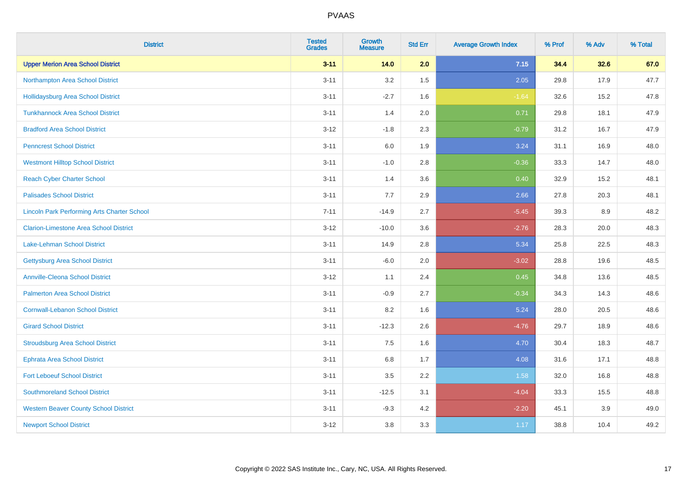| <b>District</b>                                    | <b>Tested</b><br><b>Grades</b> | <b>Growth</b><br><b>Measure</b> | <b>Std Err</b> | <b>Average Growth Index</b> | % Prof | % Adv | % Total |
|----------------------------------------------------|--------------------------------|---------------------------------|----------------|-----------------------------|--------|-------|---------|
| <b>Upper Merion Area School District</b>           | $3 - 11$                       | 14.0                            | 2.0            | 7.15                        | 34.4   | 32.6  | 67.0    |
| Northampton Area School District                   | $3 - 11$                       | 3.2                             | 1.5            | 2.05                        | 29.8   | 17.9  | 47.7    |
| <b>Hollidaysburg Area School District</b>          | $3 - 11$                       | $-2.7$                          | 1.6            | $-1.64$                     | 32.6   | 15.2  | 47.8    |
| <b>Tunkhannock Area School District</b>            | $3 - 11$                       | 1.4                             | 2.0            | 0.71                        | 29.8   | 18.1  | 47.9    |
| <b>Bradford Area School District</b>               | $3 - 12$                       | $-1.8$                          | 2.3            | $-0.79$                     | 31.2   | 16.7  | 47.9    |
| <b>Penncrest School District</b>                   | $3 - 11$                       | 6.0                             | 1.9            | 3.24                        | 31.1   | 16.9  | 48.0    |
| <b>Westmont Hilltop School District</b>            | $3 - 11$                       | $-1.0$                          | 2.8            | $-0.36$                     | 33.3   | 14.7  | 48.0    |
| <b>Reach Cyber Charter School</b>                  | $3 - 11$                       | 1.4                             | 3.6            | 0.40                        | 32.9   | 15.2  | 48.1    |
| <b>Palisades School District</b>                   | $3 - 11$                       | 7.7                             | 2.9            | 2.66                        | 27.8   | 20.3  | 48.1    |
| <b>Lincoln Park Performing Arts Charter School</b> | $7 - 11$                       | $-14.9$                         | 2.7            | $-5.45$                     | 39.3   | 8.9   | 48.2    |
| <b>Clarion-Limestone Area School District</b>      | $3 - 12$                       | $-10.0$                         | 3.6            | $-2.76$                     | 28.3   | 20.0  | 48.3    |
| <b>Lake-Lehman School District</b>                 | $3 - 11$                       | 14.9                            | 2.8            | 5.34                        | 25.8   | 22.5  | 48.3    |
| <b>Gettysburg Area School District</b>             | $3 - 11$                       | $-6.0$                          | 2.0            | $-3.02$                     | 28.8   | 19.6  | 48.5    |
| <b>Annville-Cleona School District</b>             | $3 - 12$                       | 1.1                             | 2.4            | 0.45                        | 34.8   | 13.6  | 48.5    |
| <b>Palmerton Area School District</b>              | $3 - 11$                       | $-0.9$                          | 2.7            | $-0.34$                     | 34.3   | 14.3  | 48.6    |
| <b>Cornwall-Lebanon School District</b>            | $3 - 11$                       | 8.2                             | 1.6            | 5.24                        | 28.0   | 20.5  | 48.6    |
| <b>Girard School District</b>                      | $3 - 11$                       | $-12.3$                         | 2.6            | $-4.76$                     | 29.7   | 18.9  | 48.6    |
| <b>Stroudsburg Area School District</b>            | $3 - 11$                       | 7.5                             | 1.6            | 4.70                        | 30.4   | 18.3  | 48.7    |
| <b>Ephrata Area School District</b>                | $3 - 11$                       | $6.8\,$                         | 1.7            | 4.08                        | 31.6   | 17.1  | 48.8    |
| <b>Fort Leboeuf School District</b>                | $3 - 11$                       | 3.5                             | 2.2            | 1.58                        | 32.0   | 16.8  | 48.8    |
| <b>Southmoreland School District</b>               | $3 - 11$                       | $-12.5$                         | 3.1            | $-4.04$                     | 33.3   | 15.5  | 48.8    |
| <b>Western Beaver County School District</b>       | $3 - 11$                       | $-9.3$                          | 4.2            | $-2.20$                     | 45.1   | 3.9   | 49.0    |
| <b>Newport School District</b>                     | $3 - 12$                       | 3.8                             | 3.3            | 1.17                        | 38.8   | 10.4  | 49.2    |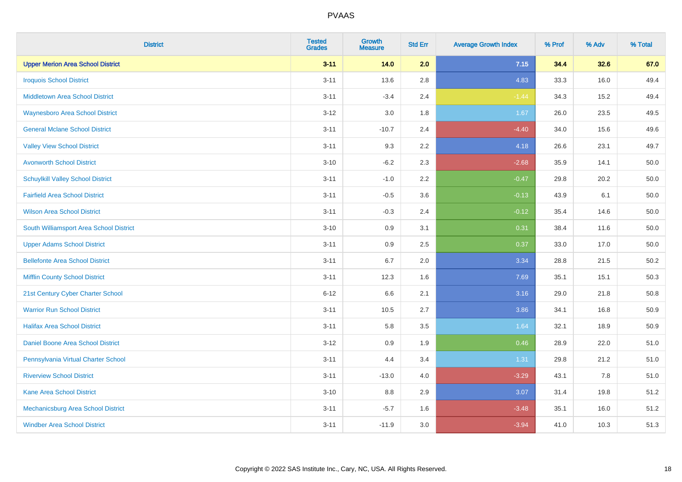| <b>District</b>                          | <b>Tested</b><br><b>Grades</b> | <b>Growth</b><br><b>Measure</b> | <b>Std Err</b> | <b>Average Growth Index</b> | % Prof | % Adv | % Total |
|------------------------------------------|--------------------------------|---------------------------------|----------------|-----------------------------|--------|-------|---------|
| <b>Upper Merion Area School District</b> | $3 - 11$                       | 14.0                            | 2.0            | 7.15                        | 34.4   | 32.6  | 67.0    |
| <b>Iroquois School District</b>          | $3 - 11$                       | 13.6                            | 2.8            | 4.83                        | 33.3   | 16.0  | 49.4    |
| <b>Middletown Area School District</b>   | $3 - 11$                       | $-3.4$                          | 2.4            | $-1.44$                     | 34.3   | 15.2  | 49.4    |
| <b>Waynesboro Area School District</b>   | $3 - 12$                       | 3.0                             | 1.8            | 1.67                        | 26.0   | 23.5  | 49.5    |
| <b>General Mclane School District</b>    | $3 - 11$                       | $-10.7$                         | 2.4            | $-4.40$                     | 34.0   | 15.6  | 49.6    |
| <b>Valley View School District</b>       | $3 - 11$                       | 9.3                             | 2.2            | 4.18                        | 26.6   | 23.1  | 49.7    |
| <b>Avonworth School District</b>         | $3 - 10$                       | $-6.2$                          | 2.3            | $-2.68$                     | 35.9   | 14.1  | 50.0    |
| <b>Schuylkill Valley School District</b> | $3 - 11$                       | $-1.0$                          | 2.2            | $-0.47$                     | 29.8   | 20.2  | 50.0    |
| <b>Fairfield Area School District</b>    | $3 - 11$                       | $-0.5$                          | 3.6            | $-0.13$                     | 43.9   | 6.1   | 50.0    |
| <b>Wilson Area School District</b>       | $3 - 11$                       | $-0.3$                          | 2.4            | $-0.12$                     | 35.4   | 14.6  | 50.0    |
| South Williamsport Area School District  | $3 - 10$                       | 0.9                             | 3.1            | 0.31                        | 38.4   | 11.6  | 50.0    |
| <b>Upper Adams School District</b>       | $3 - 11$                       | 0.9                             | 2.5            | 0.37                        | 33.0   | 17.0  | 50.0    |
| <b>Bellefonte Area School District</b>   | $3 - 11$                       | 6.7                             | 2.0            | 3.34                        | 28.8   | 21.5  | 50.2    |
| <b>Mifflin County School District</b>    | $3 - 11$                       | 12.3                            | 1.6            | 7.69                        | 35.1   | 15.1  | 50.3    |
| 21st Century Cyber Charter School        | $6 - 12$                       | 6.6                             | 2.1            | 3.16                        | 29.0   | 21.8  | 50.8    |
| <b>Warrior Run School District</b>       | $3 - 11$                       | 10.5                            | 2.7            | 3.86                        | 34.1   | 16.8  | 50.9    |
| <b>Halifax Area School District</b>      | $3 - 11$                       | 5.8                             | 3.5            | 1.64                        | 32.1   | 18.9  | 50.9    |
| Daniel Boone Area School District        | $3 - 12$                       | 0.9                             | 1.9            | 0.46                        | 28.9   | 22.0  | 51.0    |
| Pennsylvania Virtual Charter School      | $3 - 11$                       | 4.4                             | 3.4            | 1.31                        | 29.8   | 21.2  | 51.0    |
| <b>Riverview School District</b>         | $3 - 11$                       | $-13.0$                         | 4.0            | $-3.29$                     | 43.1   | 7.8   | 51.0    |
| Kane Area School District                | $3 - 10$                       | 8.8                             | 2.9            | 3.07                        | 31.4   | 19.8  | 51.2    |
| Mechanicsburg Area School District       | $3 - 11$                       | $-5.7$                          | 1.6            | $-3.48$                     | 35.1   | 16.0  | 51.2    |
| <b>Windber Area School District</b>      | $3 - 11$                       | $-11.9$                         | 3.0            | $-3.94$                     | 41.0   | 10.3  | 51.3    |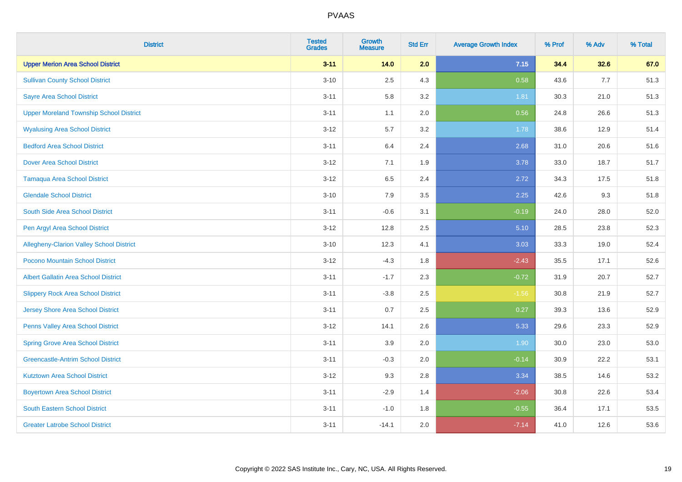| <b>District</b>                                 | <b>Tested</b><br><b>Grades</b> | <b>Growth</b><br><b>Measure</b> | <b>Std Err</b> | <b>Average Growth Index</b> | % Prof | % Adv | % Total |
|-------------------------------------------------|--------------------------------|---------------------------------|----------------|-----------------------------|--------|-------|---------|
| <b>Upper Merion Area School District</b>        | $3 - 11$                       | 14.0                            | 2.0            | 7.15                        | 34.4   | 32.6  | 67.0    |
| <b>Sullivan County School District</b>          | $3 - 10$                       | 2.5                             | 4.3            | 0.58                        | 43.6   | 7.7   | 51.3    |
| <b>Sayre Area School District</b>               | $3 - 11$                       | 5.8                             | 3.2            | 1.81                        | 30.3   | 21.0  | 51.3    |
| <b>Upper Moreland Township School District</b>  | $3 - 11$                       | 1.1                             | 2.0            | 0.56                        | 24.8   | 26.6  | 51.3    |
| <b>Wyalusing Area School District</b>           | $3-12$                         | 5.7                             | 3.2            | 1.78                        | 38.6   | 12.9  | 51.4    |
| <b>Bedford Area School District</b>             | $3 - 11$                       | 6.4                             | 2.4            | 2.68                        | 31.0   | 20.6  | 51.6    |
| <b>Dover Area School District</b>               | $3 - 12$                       | 7.1                             | 1.9            | 3.78                        | 33.0   | 18.7  | 51.7    |
| <b>Tamaqua Area School District</b>             | $3-12$                         | 6.5                             | 2.4            | 2.72                        | 34.3   | 17.5  | 51.8    |
| <b>Glendale School District</b>                 | $3 - 10$                       | 7.9                             | 3.5            | 2.25                        | 42.6   | 9.3   | 51.8    |
| South Side Area School District                 | $3 - 11$                       | $-0.6$                          | 3.1            | $-0.19$                     | 24.0   | 28.0  | 52.0    |
| Pen Argyl Area School District                  | $3 - 12$                       | 12.8                            | 2.5            | 5.10                        | 28.5   | 23.8  | 52.3    |
| <b>Allegheny-Clarion Valley School District</b> | $3 - 10$                       | 12.3                            | 4.1            | 3.03                        | 33.3   | 19.0  | 52.4    |
| Pocono Mountain School District                 | $3-12$                         | $-4.3$                          | 1.8            | $-2.43$                     | 35.5   | 17.1  | 52.6    |
| <b>Albert Gallatin Area School District</b>     | $3 - 11$                       | $-1.7$                          | 2.3            | $-0.72$                     | 31.9   | 20.7  | 52.7    |
| <b>Slippery Rock Area School District</b>       | $3 - 11$                       | $-3.8$                          | 2.5            | $-1.56$                     | 30.8   | 21.9  | 52.7    |
| Jersey Shore Area School District               | $3 - 11$                       | 0.7                             | 2.5            | 0.27                        | 39.3   | 13.6  | 52.9    |
| Penns Valley Area School District               | $3 - 12$                       | 14.1                            | 2.6            | 5.33                        | 29.6   | 23.3  | 52.9    |
| <b>Spring Grove Area School District</b>        | $3 - 11$                       | 3.9                             | 2.0            | 1.90                        | 30.0   | 23.0  | 53.0    |
| <b>Greencastle-Antrim School District</b>       | $3 - 11$                       | $-0.3$                          | 2.0            | $-0.14$                     | 30.9   | 22.2  | 53.1    |
| <b>Kutztown Area School District</b>            | $3-12$                         | 9.3                             | 2.8            | 3.34                        | 38.5   | 14.6  | 53.2    |
| <b>Boyertown Area School District</b>           | $3 - 11$                       | $-2.9$                          | 1.4            | $-2.06$                     | 30.8   | 22.6  | 53.4    |
| <b>South Eastern School District</b>            | $3 - 11$                       | $-1.0$                          | 1.8            | $-0.55$                     | 36.4   | 17.1  | 53.5    |
| <b>Greater Latrobe School District</b>          | $3 - 11$                       | $-14.1$                         | 2.0            | $-7.14$                     | 41.0   | 12.6  | 53.6    |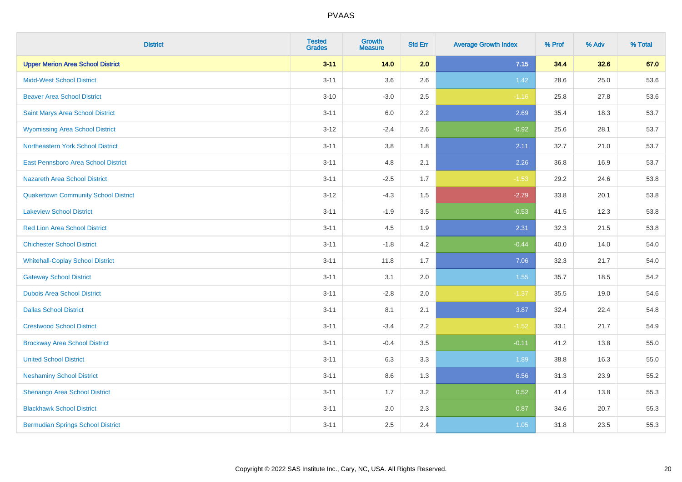| <b>District</b>                             | <b>Tested</b><br><b>Grades</b> | <b>Growth</b><br><b>Measure</b> | <b>Std Err</b> | <b>Average Growth Index</b> | % Prof | % Adv | % Total |
|---------------------------------------------|--------------------------------|---------------------------------|----------------|-----------------------------|--------|-------|---------|
| <b>Upper Merion Area School District</b>    | $3 - 11$                       | 14.0                            | 2.0            | 7.15                        | 34.4   | 32.6  | 67.0    |
| <b>Midd-West School District</b>            | $3 - 11$                       | 3.6                             | 2.6            | 1.42                        | 28.6   | 25.0  | 53.6    |
| <b>Beaver Area School District</b>          | $3 - 10$                       | $-3.0$                          | 2.5            | $-1.16$                     | 25.8   | 27.8  | 53.6    |
| Saint Marys Area School District            | $3 - 11$                       | 6.0                             | 2.2            | 2.69                        | 35.4   | 18.3  | 53.7    |
| <b>Wyomissing Area School District</b>      | $3-12$                         | $-2.4$                          | 2.6            | $-0.92$                     | 25.6   | 28.1  | 53.7    |
| Northeastern York School District           | $3 - 11$                       | 3.8                             | 1.8            | 2.11                        | 32.7   | 21.0  | 53.7    |
| East Pennsboro Area School District         | $3 - 11$                       | 4.8                             | 2.1            | 2.26                        | 36.8   | 16.9  | 53.7    |
| <b>Nazareth Area School District</b>        | $3 - 11$                       | $-2.5$                          | 1.7            | $-1.53$                     | 29.2   | 24.6  | 53.8    |
| <b>Quakertown Community School District</b> | $3-12$                         | $-4.3$                          | 1.5            | $-2.79$                     | 33.8   | 20.1  | 53.8    |
| <b>Lakeview School District</b>             | $3 - 11$                       | $-1.9$                          | 3.5            | $-0.53$                     | 41.5   | 12.3  | 53.8    |
| <b>Red Lion Area School District</b>        | $3 - 11$                       | 4.5                             | 1.9            | 2.31                        | 32.3   | 21.5  | 53.8    |
| <b>Chichester School District</b>           | $3 - 11$                       | $-1.8$                          | 4.2            | $-0.44$                     | 40.0   | 14.0  | 54.0    |
| <b>Whitehall-Coplay School District</b>     | $3 - 11$                       | 11.8                            | 1.7            | 7.06                        | 32.3   | 21.7  | 54.0    |
| <b>Gateway School District</b>              | $3 - 11$                       | 3.1                             | 2.0            | 1.55                        | 35.7   | 18.5  | 54.2    |
| <b>Dubois Area School District</b>          | $3 - 11$                       | $-2.8$                          | 2.0            | $-1.37$                     | 35.5   | 19.0  | 54.6    |
| <b>Dallas School District</b>               | $3 - 11$                       | 8.1                             | 2.1            | 3.87                        | 32.4   | 22.4  | 54.8    |
| <b>Crestwood School District</b>            | $3 - 11$                       | $-3.4$                          | 2.2            | $-1.52$                     | 33.1   | 21.7  | 54.9    |
| <b>Brockway Area School District</b>        | $3 - 11$                       | $-0.4$                          | 3.5            | $-0.11$                     | 41.2   | 13.8  | 55.0    |
| <b>United School District</b>               | $3 - 11$                       | 6.3                             | 3.3            | 1.89                        | 38.8   | 16.3  | 55.0    |
| <b>Neshaminy School District</b>            | $3 - 11$                       | 8.6                             | 1.3            | 6.56                        | 31.3   | 23.9  | 55.2    |
| Shenango Area School District               | $3 - 11$                       | 1.7                             | 3.2            | 0.52                        | 41.4   | 13.8  | 55.3    |
| <b>Blackhawk School District</b>            | $3 - 11$                       | 2.0                             | 2.3            | 0.87                        | 34.6   | 20.7  | 55.3    |
| <b>Bermudian Springs School District</b>    | $3 - 11$                       | 2.5                             | 2.4            | 1.05                        | 31.8   | 23.5  | 55.3    |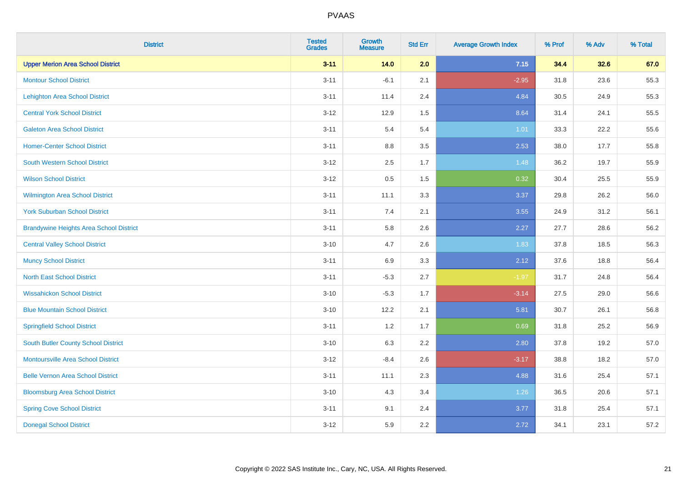| <b>District</b>                                | <b>Tested</b><br><b>Grades</b> | <b>Growth</b><br><b>Measure</b> | <b>Std Err</b> | <b>Average Growth Index</b> | % Prof | % Adv | % Total |
|------------------------------------------------|--------------------------------|---------------------------------|----------------|-----------------------------|--------|-------|---------|
| <b>Upper Merion Area School District</b>       | $3 - 11$                       | 14.0                            | 2.0            | 7.15                        | 34.4   | 32.6  | 67.0    |
| <b>Montour School District</b>                 | $3 - 11$                       | $-6.1$                          | 2.1            | $-2.95$                     | 31.8   | 23.6  | 55.3    |
| <b>Lehighton Area School District</b>          | $3 - 11$                       | 11.4                            | 2.4            | 4.84                        | 30.5   | 24.9  | 55.3    |
| <b>Central York School District</b>            | $3 - 12$                       | 12.9                            | 1.5            | 8.64                        | 31.4   | 24.1  | 55.5    |
| <b>Galeton Area School District</b>            | $3 - 11$                       | 5.4                             | 5.4            | 1.01                        | 33.3   | 22.2  | 55.6    |
| <b>Homer-Center School District</b>            | $3 - 11$                       | 8.8                             | 3.5            | 2.53                        | 38.0   | 17.7  | 55.8    |
| <b>South Western School District</b>           | $3 - 12$                       | 2.5                             | 1.7            | 1.48                        | 36.2   | 19.7  | 55.9    |
| <b>Wilson School District</b>                  | $3 - 12$                       | 0.5                             | 1.5            | 0.32                        | 30.4   | 25.5  | 55.9    |
| Wilmington Area School District                | $3 - 11$                       | 11.1                            | 3.3            | 3.37                        | 29.8   | 26.2  | 56.0    |
| <b>York Suburban School District</b>           | $3 - 11$                       | 7.4                             | 2.1            | 3.55                        | 24.9   | 31.2  | 56.1    |
| <b>Brandywine Heights Area School District</b> | $3 - 11$                       | 5.8                             | 2.6            | 2.27                        | 27.7   | 28.6  | 56.2    |
| <b>Central Valley School District</b>          | $3 - 10$                       | 4.7                             | 2.6            | 1.83                        | 37.8   | 18.5  | 56.3    |
| <b>Muncy School District</b>                   | $3 - 11$                       | 6.9                             | 3.3            | 2.12                        | 37.6   | 18.8  | 56.4    |
| <b>North East School District</b>              | $3 - 11$                       | $-5.3$                          | 2.7            | $-1.97$                     | 31.7   | 24.8  | 56.4    |
| <b>Wissahickon School District</b>             | $3 - 10$                       | $-5.3$                          | 1.7            | $-3.14$                     | 27.5   | 29.0  | 56.6    |
| <b>Blue Mountain School District</b>           | $3 - 10$                       | 12.2                            | 2.1            | 5.81                        | 30.7   | 26.1  | 56.8    |
| <b>Springfield School District</b>             | $3 - 11$                       | 1.2                             | 1.7            | 0.69                        | 31.8   | 25.2  | 56.9    |
| <b>South Butler County School District</b>     | $3 - 10$                       | 6.3                             | 2.2            | 2.80                        | 37.8   | 19.2  | 57.0    |
| Montoursville Area School District             | $3 - 12$                       | $-8.4$                          | 2.6            | $-3.17$                     | 38.8   | 18.2  | 57.0    |
| <b>Belle Vernon Area School District</b>       | $3 - 11$                       | 11.1                            | 2.3            | 4.88                        | 31.6   | 25.4  | 57.1    |
| <b>Bloomsburg Area School District</b>         | $3 - 10$                       | 4.3                             | 3.4            | 1.26                        | 36.5   | 20.6  | 57.1    |
| <b>Spring Cove School District</b>             | $3 - 11$                       | 9.1                             | 2.4            | 3.77                        | 31.8   | 25.4  | 57.1    |
| <b>Donegal School District</b>                 | $3 - 12$                       | 5.9                             | 2.2            | 2.72                        | 34.1   | 23.1  | 57.2    |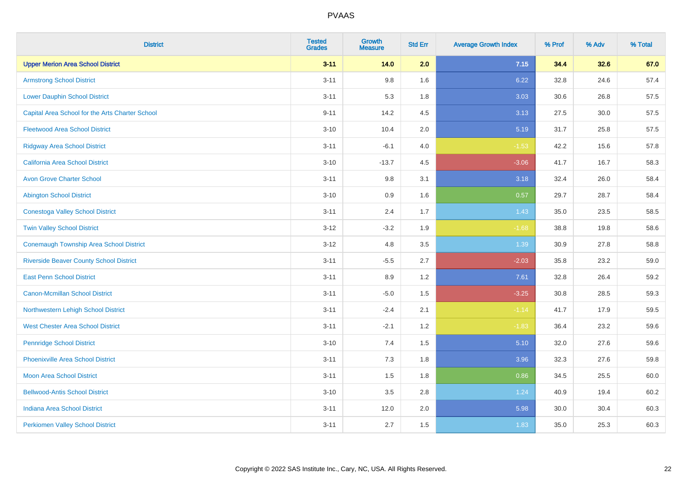| <b>District</b>                                 | <b>Tested</b><br><b>Grades</b> | <b>Growth</b><br><b>Measure</b> | <b>Std Err</b> | <b>Average Growth Index</b> | % Prof | % Adv | % Total |
|-------------------------------------------------|--------------------------------|---------------------------------|----------------|-----------------------------|--------|-------|---------|
| <b>Upper Merion Area School District</b>        | $3 - 11$                       | 14.0                            | 2.0            | 7.15                        | 34.4   | 32.6  | 67.0    |
| <b>Armstrong School District</b>                | $3 - 11$                       | 9.8                             | 1.6            | 6.22                        | 32.8   | 24.6  | 57.4    |
| <b>Lower Dauphin School District</b>            | $3 - 11$                       | 5.3                             | 1.8            | 3.03                        | 30.6   | 26.8  | 57.5    |
| Capital Area School for the Arts Charter School | $9 - 11$                       | 14.2                            | 4.5            | 3.13                        | 27.5   | 30.0  | 57.5    |
| <b>Fleetwood Area School District</b>           | $3 - 10$                       | 10.4                            | 2.0            | 5.19                        | 31.7   | 25.8  | 57.5    |
| <b>Ridgway Area School District</b>             | $3 - 11$                       | $-6.1$                          | 4.0            | $-1.53$                     | 42.2   | 15.6  | 57.8    |
| California Area School District                 | $3 - 10$                       | $-13.7$                         | 4.5            | $-3.06$                     | 41.7   | 16.7  | 58.3    |
| <b>Avon Grove Charter School</b>                | $3 - 11$                       | 9.8                             | 3.1            | 3.18                        | 32.4   | 26.0  | 58.4    |
| <b>Abington School District</b>                 | $3 - 10$                       | 0.9                             | 1.6            | 0.57                        | 29.7   | 28.7  | 58.4    |
| <b>Conestoga Valley School District</b>         | $3 - 11$                       | 2.4                             | 1.7            | 1.43                        | 35.0   | 23.5  | 58.5    |
| <b>Twin Valley School District</b>              | $3 - 12$                       | $-3.2$                          | 1.9            | $-1.68$                     | 38.8   | 19.8  | 58.6    |
| <b>Conemaugh Township Area School District</b>  | $3 - 12$                       | 4.8                             | 3.5            | 1.39                        | 30.9   | 27.8  | 58.8    |
| <b>Riverside Beaver County School District</b>  | $3 - 11$                       | $-5.5$                          | 2.7            | $-2.03$                     | 35.8   | 23.2  | 59.0    |
| <b>East Penn School District</b>                | $3 - 11$                       | 8.9                             | 1.2            | 7.61                        | 32.8   | 26.4  | 59.2    |
| <b>Canon-Mcmillan School District</b>           | $3 - 11$                       | $-5.0$                          | 1.5            | $-3.25$                     | 30.8   | 28.5  | 59.3    |
| Northwestern Lehigh School District             | $3 - 11$                       | $-2.4$                          | 2.1            | $-1.14$                     | 41.7   | 17.9  | 59.5    |
| <b>West Chester Area School District</b>        | $3 - 11$                       | $-2.1$                          | 1.2            | $-1.83$                     | 36.4   | 23.2  | 59.6    |
| <b>Pennridge School District</b>                | $3 - 10$                       | 7.4                             | 1.5            | 5.10                        | 32.0   | 27.6  | 59.6    |
| <b>Phoenixville Area School District</b>        | $3 - 11$                       | 7.3                             | 1.8            | 3.96                        | 32.3   | 27.6  | 59.8    |
| <b>Moon Area School District</b>                | $3 - 11$                       | 1.5                             | 1.8            | 0.86                        | 34.5   | 25.5  | 60.0    |
| <b>Bellwood-Antis School District</b>           | $3 - 10$                       | 3.5                             | 2.8            | 1.24                        | 40.9   | 19.4  | 60.2    |
| <b>Indiana Area School District</b>             | $3 - 11$                       | 12.0                            | 2.0            | 5.98                        | 30.0   | 30.4  | 60.3    |
| <b>Perkiomen Valley School District</b>         | $3 - 11$                       | 2.7                             | 1.5            | 1.83                        | 35.0   | 25.3  | 60.3    |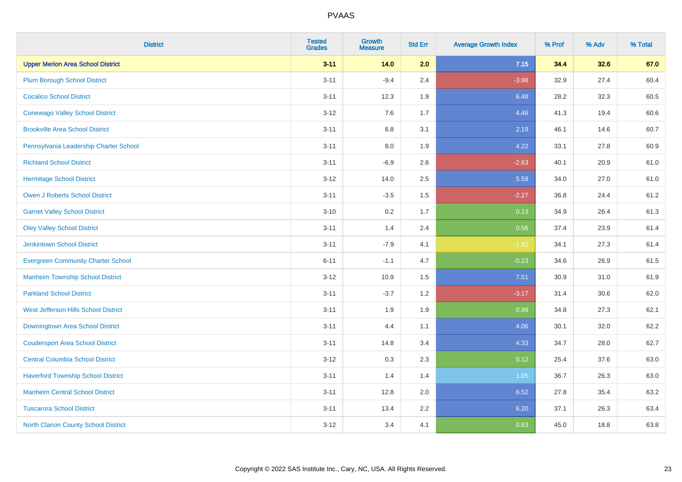| <b>District</b>                             | <b>Tested</b><br><b>Grades</b> | <b>Growth</b><br><b>Measure</b> | <b>Std Err</b> | <b>Average Growth Index</b> | % Prof | % Adv | % Total |
|---------------------------------------------|--------------------------------|---------------------------------|----------------|-----------------------------|--------|-------|---------|
| <b>Upper Merion Area School District</b>    | $3 - 11$                       | 14.0                            | 2.0            | 7.15                        | 34.4   | 32.6  | 67.0    |
| <b>Plum Borough School District</b>         | $3 - 11$                       | $-9.4$                          | 2.4            | $-3.98$                     | 32.9   | 27.4  | 60.4    |
| <b>Cocalico School District</b>             | $3 - 11$                       | 12.3                            | 1.9            | 6.48                        | 28.2   | 32.3  | 60.5    |
| <b>Conewago Valley School District</b>      | $3 - 12$                       | 7.6                             | 1.7            | 4.46                        | 41.3   | 19.4  | 60.6    |
| <b>Brookville Area School District</b>      | $3 - 11$                       | 6.8                             | 3.1            | 2.19                        | 46.1   | 14.6  | 60.7    |
| Pennsylvania Leadership Charter School      | $3 - 11$                       | 8.0                             | 1.9            | 4.22                        | 33.1   | 27.8  | 60.9    |
| <b>Richland School District</b>             | $3 - 11$                       | $-6.9$                          | 2.6            | $-2.63$                     | 40.1   | 20.9  | 61.0    |
| <b>Hermitage School District</b>            | $3 - 12$                       | 14.0                            | 2.5            | 5.59                        | 34.0   | 27.0  | 61.0    |
| <b>Owen J Roberts School District</b>       | $3 - 11$                       | $-3.5$                          | 1.5            | $-2.27$                     | 36.8   | 24.4  | 61.2    |
| <b>Garnet Valley School District</b>        | $3 - 10$                       | 0.2                             | 1.7            | 0.13                        | 34.9   | 26.4  | 61.3    |
| <b>Oley Valley School District</b>          | $3 - 11$                       | 1.4                             | 2.4            | 0.56                        | 37.4   | 23.9  | 61.4    |
| <b>Jenkintown School District</b>           | $3 - 11$                       | $-7.9$                          | 4.1            | $-1.92$                     | 34.1   | 27.3  | 61.4    |
| <b>Evergreen Community Charter School</b>   | $6 - 11$                       | $-1.1$                          | 4.7            | $-0.23$                     | 34.6   | 26.9  | 61.5    |
| <b>Manheim Township School District</b>     | $3 - 12$                       | 10.9                            | 1.5            | 7.51                        | 30.9   | 31.0  | 61.9    |
| <b>Parkland School District</b>             | $3 - 11$                       | $-3.7$                          | 1.2            | $-3.17$                     | 31.4   | 30.6  | 62.0    |
| West Jefferson Hills School District        | $3 - 11$                       | 1.9                             | 1.9            | 0.99                        | 34.8   | 27.3  | 62.1    |
| <b>Downingtown Area School District</b>     | $3 - 11$                       | 4.4                             | 1.1            | 4.06                        | 30.1   | 32.0  | 62.2    |
| <b>Coudersport Area School District</b>     | $3 - 11$                       | 14.8                            | 3.4            | 4.33                        | 34.7   | 28.0  | 62.7    |
| <b>Central Columbia School District</b>     | $3 - 12$                       | 0.3                             | 2.3            | 0.12                        | 25.4   | 37.6  | 63.0    |
| <b>Haverford Township School District</b>   | $3 - 11$                       | 1.4                             | 1.4            | 1.05                        | 36.7   | 26.3  | 63.0    |
| <b>Manheim Central School District</b>      | $3 - 11$                       | 12.8                            | 2.0            | 6.52                        | 27.8   | 35.4  | 63.2    |
| <b>Tuscarora School District</b>            | $3 - 11$                       | 13.4                            | 2.2            | 6.20                        | 37.1   | 26.3  | 63.4    |
| <b>North Clarion County School District</b> | $3 - 12$                       | 3.4                             | 4.1            | 0.83                        | 45.0   | 18.8  | 63.8    |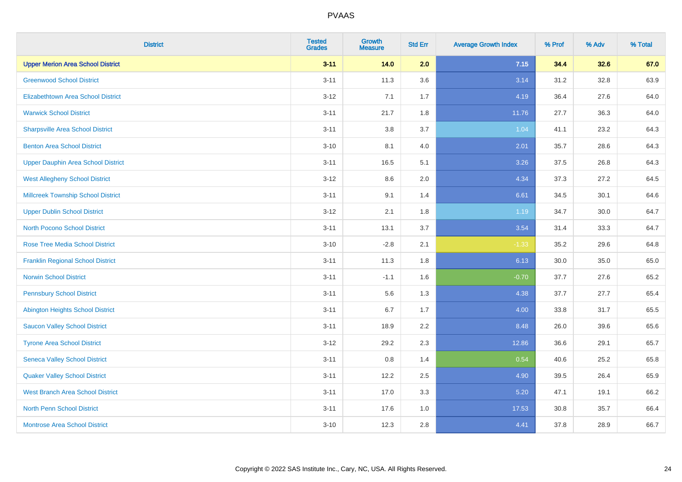| <b>District</b>                           | <b>Tested</b><br><b>Grades</b> | <b>Growth</b><br><b>Measure</b> | <b>Std Err</b> | <b>Average Growth Index</b> | % Prof | % Adv | % Total |
|-------------------------------------------|--------------------------------|---------------------------------|----------------|-----------------------------|--------|-------|---------|
| <b>Upper Merion Area School District</b>  | $3 - 11$                       | 14.0                            | 2.0            | 7.15                        | 34.4   | 32.6  | 67.0    |
| <b>Greenwood School District</b>          | $3 - 11$                       | 11.3                            | 3.6            | 3.14                        | 31.2   | 32.8  | 63.9    |
| <b>Elizabethtown Area School District</b> | $3 - 12$                       | 7.1                             | 1.7            | 4.19                        | 36.4   | 27.6  | 64.0    |
| <b>Warwick School District</b>            | $3 - 11$                       | 21.7                            | 1.8            | 11.76                       | 27.7   | 36.3  | 64.0    |
| <b>Sharpsville Area School District</b>   | $3 - 11$                       | 3.8                             | 3.7            | 1.04                        | 41.1   | 23.2  | 64.3    |
| <b>Benton Area School District</b>        | $3 - 10$                       | 8.1                             | 4.0            | 2.01                        | 35.7   | 28.6  | 64.3    |
| <b>Upper Dauphin Area School District</b> | $3 - 11$                       | 16.5                            | 5.1            | 3.26                        | 37.5   | 26.8  | 64.3    |
| <b>West Allegheny School District</b>     | $3 - 12$                       | 8.6                             | 2.0            | 4.34                        | 37.3   | 27.2  | 64.5    |
| <b>Millcreek Township School District</b> | $3 - 11$                       | 9.1                             | 1.4            | 6.61                        | 34.5   | 30.1  | 64.6    |
| <b>Upper Dublin School District</b>       | $3 - 12$                       | 2.1                             | 1.8            | 1.19                        | 34.7   | 30.0  | 64.7    |
| <b>North Pocono School District</b>       | $3 - 11$                       | 13.1                            | 3.7            | 3.54                        | 31.4   | 33.3  | 64.7    |
| <b>Rose Tree Media School District</b>    | $3 - 10$                       | $-2.8$                          | 2.1            | $-1.33$                     | 35.2   | 29.6  | 64.8    |
| <b>Franklin Regional School District</b>  | $3 - 11$                       | 11.3                            | 1.8            | 6.13                        | 30.0   | 35.0  | 65.0    |
| <b>Norwin School District</b>             | $3 - 11$                       | $-1.1$                          | 1.6            | $-0.70$                     | 37.7   | 27.6  | 65.2    |
| <b>Pennsbury School District</b>          | $3 - 11$                       | 5.6                             | 1.3            | 4.38                        | 37.7   | 27.7  | 65.4    |
| <b>Abington Heights School District</b>   | $3 - 11$                       | 6.7                             | 1.7            | 4.00                        | 33.8   | 31.7  | 65.5    |
| <b>Saucon Valley School District</b>      | $3 - 11$                       | 18.9                            | 2.2            | 8.48                        | 26.0   | 39.6  | 65.6    |
| <b>Tyrone Area School District</b>        | $3 - 12$                       | 29.2                            | 2.3            | 12.86                       | 36.6   | 29.1  | 65.7    |
| <b>Seneca Valley School District</b>      | $3 - 11$                       | $0.8\,$                         | 1.4            | 0.54                        | 40.6   | 25.2  | 65.8    |
| <b>Quaker Valley School District</b>      | $3 - 11$                       | 12.2                            | 2.5            | 4.90                        | 39.5   | 26.4  | 65.9    |
| <b>West Branch Area School District</b>   | $3 - 11$                       | 17.0                            | 3.3            | 5.20                        | 47.1   | 19.1  | 66.2    |
| North Penn School District                | $3 - 11$                       | 17.6                            | 1.0            | 17.53                       | 30.8   | 35.7  | 66.4    |
| <b>Montrose Area School District</b>      | $3 - 10$                       | 12.3                            | 2.8            | 4.41                        | 37.8   | 28.9  | 66.7    |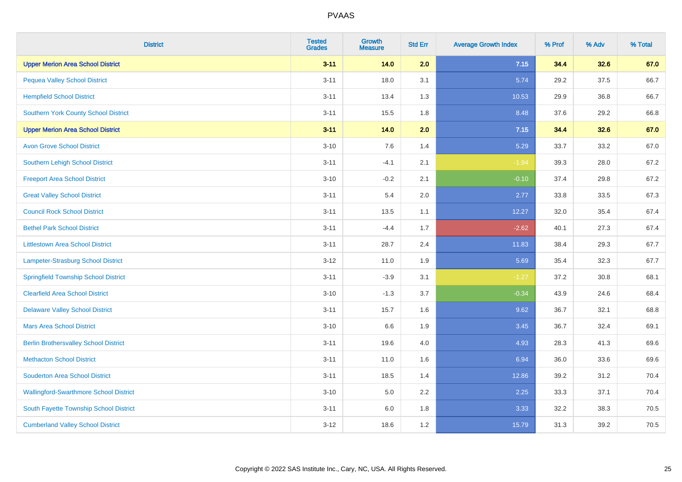| <b>District</b>                               | <b>Tested</b><br><b>Grades</b> | <b>Growth</b><br><b>Measure</b> | <b>Std Err</b> | <b>Average Growth Index</b> | % Prof | % Adv | % Total |
|-----------------------------------------------|--------------------------------|---------------------------------|----------------|-----------------------------|--------|-------|---------|
| <b>Upper Merion Area School District</b>      | $3 - 11$                       | 14.0                            | 2.0            | 7.15                        | 34.4   | 32.6  | 67.0    |
| <b>Pequea Valley School District</b>          | $3 - 11$                       | 18.0                            | 3.1            | 5.74                        | 29.2   | 37.5  | 66.7    |
| <b>Hempfield School District</b>              | $3 - 11$                       | 13.4                            | 1.3            | 10.53                       | 29.9   | 36.8  | 66.7    |
| <b>Southern York County School District</b>   | $3 - 11$                       | 15.5                            | 1.8            | 8.48                        | 37.6   | 29.2  | 66.8    |
| <b>Upper Merion Area School District</b>      | $3 - 11$                       | 14.0                            | 2.0            | 7.15                        | 34.4   | 32.6  | 67.0    |
| <b>Avon Grove School District</b>             | $3 - 10$                       | 7.6                             | 1.4            | 5.29                        | 33.7   | 33.2  | 67.0    |
| Southern Lehigh School District               | $3 - 11$                       | $-4.1$                          | 2.1            | $-1.94$                     | 39.3   | 28.0  | 67.2    |
| <b>Freeport Area School District</b>          | $3 - 10$                       | $-0.2$                          | 2.1            | $-0.10$                     | 37.4   | 29.8  | 67.2    |
| <b>Great Valley School District</b>           | $3 - 11$                       | 5.4                             | 2.0            | 2.77                        | 33.8   | 33.5  | 67.3    |
| <b>Council Rock School District</b>           | $3 - 11$                       | 13.5                            | 1.1            | 12.27                       | 32.0   | 35.4  | 67.4    |
| <b>Bethel Park School District</b>            | $3 - 11$                       | $-4.4$                          | 1.7            | $-2.62$                     | 40.1   | 27.3  | 67.4    |
| <b>Littlestown Area School District</b>       | $3 - 11$                       | 28.7                            | 2.4            | 11.83                       | 38.4   | 29.3  | 67.7    |
| Lampeter-Strasburg School District            | $3 - 12$                       | 11.0                            | 1.9            | 5.69                        | 35.4   | 32.3  | 67.7    |
| <b>Springfield Township School District</b>   | $3 - 11$                       | $-3.9$                          | 3.1            | $-1.27$                     | 37.2   | 30.8  | 68.1    |
| <b>Clearfield Area School District</b>        | $3 - 10$                       | $-1.3$                          | 3.7            | $-0.34$                     | 43.9   | 24.6  | 68.4    |
| <b>Delaware Valley School District</b>        | $3 - 11$                       | 15.7                            | 1.6            | 9.62                        | 36.7   | 32.1  | 68.8    |
| <b>Mars Area School District</b>              | $3 - 10$                       | 6.6                             | 1.9            | 3.45                        | 36.7   | 32.4  | 69.1    |
| <b>Berlin Brothersvalley School District</b>  | $3 - 11$                       | 19.6                            | 4.0            | 4.93                        | 28.3   | 41.3  | 69.6    |
| <b>Methacton School District</b>              | $3 - 11$                       | 11.0                            | 1.6            | 6.94                        | 36.0   | 33.6  | 69.6    |
| <b>Souderton Area School District</b>         | $3 - 11$                       | 18.5                            | 1.4            | 12.86                       | 39.2   | 31.2  | 70.4    |
| <b>Wallingford-Swarthmore School District</b> | $3 - 10$                       | 5.0                             | 2.2            | 2.25                        | 33.3   | 37.1  | 70.4    |
| South Fayette Township School District        | $3 - 11$                       | 6.0                             | 1.8            | 3.33                        | 32.2   | 38.3  | 70.5    |
| <b>Cumberland Valley School District</b>      | $3 - 12$                       | 18.6                            | 1.2            | 15.79                       | 31.3   | 39.2  | 70.5    |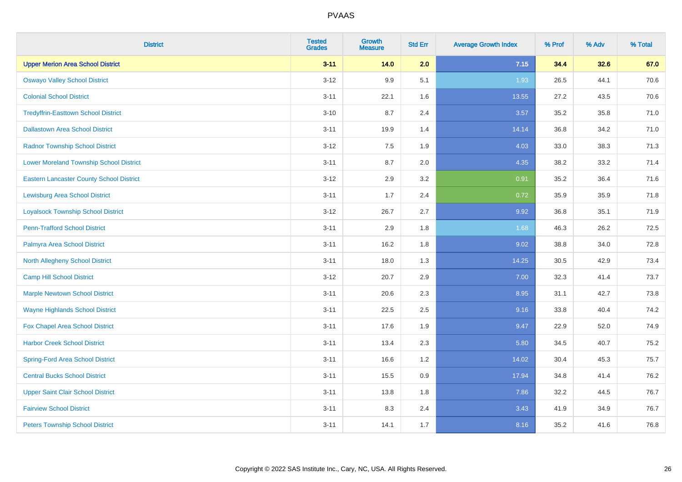| <b>District</b>                                 | <b>Tested</b><br><b>Grades</b> | <b>Growth</b><br><b>Measure</b> | <b>Std Err</b> | <b>Average Growth Index</b> | % Prof | % Adv | % Total |
|-------------------------------------------------|--------------------------------|---------------------------------|----------------|-----------------------------|--------|-------|---------|
| <b>Upper Merion Area School District</b>        | $3 - 11$                       | 14.0                            | 2.0            | 7.15                        | 34.4   | 32.6  | 67.0    |
| <b>Oswayo Valley School District</b>            | $3 - 12$                       | 9.9                             | 5.1            | 1.93                        | 26.5   | 44.1  | 70.6    |
| <b>Colonial School District</b>                 | $3 - 11$                       | 22.1                            | 1.6            | 13.55                       | 27.2   | 43.5  | 70.6    |
| <b>Tredyffrin-Easttown School District</b>      | $3 - 10$                       | 8.7                             | 2.4            | 3.57                        | 35.2   | 35.8  | 71.0    |
| <b>Dallastown Area School District</b>          | $3 - 11$                       | 19.9                            | 1.4            | 14.14                       | 36.8   | 34.2  | 71.0    |
| <b>Radnor Township School District</b>          | $3 - 12$                       | 7.5                             | 1.9            | 4.03                        | 33.0   | 38.3  | 71.3    |
| <b>Lower Moreland Township School District</b>  | $3 - 11$                       | 8.7                             | 2.0            | 4.35                        | 38.2   | 33.2  | 71.4    |
| <b>Eastern Lancaster County School District</b> | $3 - 12$                       | 2.9                             | 3.2            | 0.91                        | 35.2   | 36.4  | 71.6    |
| <b>Lewisburg Area School District</b>           | $3 - 11$                       | 1.7                             | 2.4            | 0.72                        | 35.9   | 35.9  | 71.8    |
| <b>Loyalsock Township School District</b>       | $3-12$                         | 26.7                            | 2.7            | 9.92                        | 36.8   | 35.1  | 71.9    |
| <b>Penn-Trafford School District</b>            | $3 - 11$                       | 2.9                             | 1.8            | 1.68                        | 46.3   | 26.2  | 72.5    |
| Palmyra Area School District                    | $3 - 11$                       | 16.2                            | 1.8            | 9.02                        | 38.8   | 34.0  | 72.8    |
| North Allegheny School District                 | $3 - 11$                       | 18.0                            | 1.3            | 14.25                       | 30.5   | 42.9  | 73.4    |
| <b>Camp Hill School District</b>                | $3 - 12$                       | 20.7                            | 2.9            | 7.00                        | 32.3   | 41.4  | 73.7    |
| <b>Marple Newtown School District</b>           | $3 - 11$                       | 20.6                            | 2.3            | 8.95                        | 31.1   | 42.7  | 73.8    |
| <b>Wayne Highlands School District</b>          | $3 - 11$                       | 22.5                            | 2.5            | 9.16                        | 33.8   | 40.4  | 74.2    |
| Fox Chapel Area School District                 | $3 - 11$                       | 17.6                            | 1.9            | 9.47                        | 22.9   | 52.0  | 74.9    |
| <b>Harbor Creek School District</b>             | $3 - 11$                       | 13.4                            | 2.3            | 5.80                        | 34.5   | 40.7  | 75.2    |
| <b>Spring-Ford Area School District</b>         | $3 - 11$                       | 16.6                            | 1.2            | 14.02                       | 30.4   | 45.3  | 75.7    |
| <b>Central Bucks School District</b>            | $3 - 11$                       | 15.5                            | 0.9            | 17.94                       | 34.8   | 41.4  | 76.2    |
| <b>Upper Saint Clair School District</b>        | $3 - 11$                       | 13.8                            | 1.8            | 7.86                        | 32.2   | 44.5  | 76.7    |
| <b>Fairview School District</b>                 | $3 - 11$                       | 8.3                             | 2.4            | 3.43                        | 41.9   | 34.9  | 76.7    |
| <b>Peters Township School District</b>          | $3 - 11$                       | 14.1                            | 1.7            | 8.16                        | 35.2   | 41.6  | 76.8    |